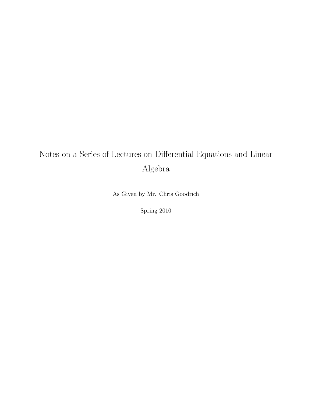# Notes on a Series of Lectures on Differential Equations and Linear Algebra

As Given by Mr. Chris Goodrich

Spring 2010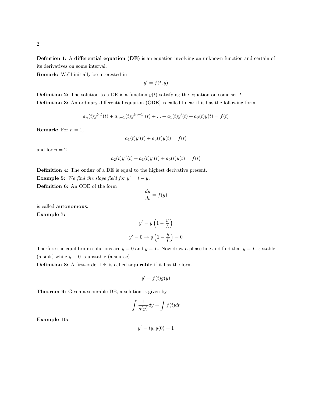Defintion 1: A differential equation (DE) is an equation involving an unknown function and certain of its derivatives on some interval.

Remark: We'll initially be interested in

$$
y' = f(t, y)
$$

**Definition 2:** The solution to a DE is a function  $y(t)$  satisfying the equation on some set I. Definition 3: An ordinary differential equation (ODE) is called linear if it has the following form

$$
a_n(t)y^{(n)}(t) + a_{n-1}(t)y^{(n-1)}(t) + \dots + a_1(t)y'(t) + a_0(t)y(t) = f(t)
$$

**Remark:** For  $n = 1$ ,

$$
a_1(t)y'(t) + a_0(t)y(t) = f(t)
$$

and for  $n = 2$ 

$$
a_2(t)y''(t) + a_1(t)y'(t) + a_0(t)y(t) = f(t)
$$

Definition 4: The order of a DE is equal to the highest derivative present. **Example 5:** We find the slope field for  $y' = t - y$ .

Definition 6: An ODE of the form

$$
\frac{dy}{dt} = f(y)
$$

is called autonomous.

Example 7:

$$
y' = y \left(1 - \frac{y}{L}\right)
$$

$$
y' = 0 \Rightarrow y \left(1 - \frac{y}{L}\right) = 0
$$

Therfore the equilibrium solutions are  $y \equiv 0$  and  $y \equiv L$ . Now draw a phase line and find that  $y \equiv L$  is stable (a sink) while  $y \equiv 0$  is unstable (a source).

Definition 8: A first-order DE is called seperable if it has the form

$$
y' = f(t)g(y)
$$

Theorem 9: Given a seperable DE, a solution is given by

$$
\int \frac{1}{g(y)} dy = \int f(t) dt
$$

Example 10:

$$
y' = ty, y(0) = 1
$$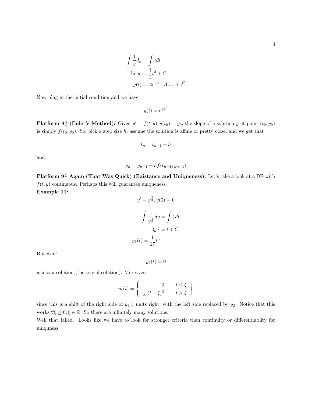$$
\int \frac{1}{y} dy = \int t dt
$$
  
\n
$$
\ln|y| = \frac{1}{2}t^2 + C
$$
  
\n
$$
y(t) = Ae^{\frac{1}{2}t^2}, A := \pm e^C
$$

Now plug in the initial condition and we have

$$
y(t) = e^{\frac{1}{2}t^2}
$$

**Platform 9**<sup>3</sup>/<sub>4</sub> (Euler's Method): Given  $y' = f(t, y)$ ,  $y(t_0) = y_0$ , the slope of a solution y at point  $(t_0, y_0)$ is simply  $f(t_0, y_0)$ . So, pick a step size h, assume the solution is affine or pretty close, and we get that

$$
t_n = t_{n-1} + h
$$

and

$$
y_n = y_{n-1} + h f(t_{n-1}, y_{n-1})
$$

Platform  $9\frac{3}{4}$  Again (That Was Quick) (Existance and Uniqueness): Let's take a look at a DE with  $f(t, y)$  continuous. Perhaps this will guarantee uniqueness. Example 11:

$$
y' = y^{\frac{2}{3}}, y(0) = 0
$$

$$
\int \frac{1}{y^{\frac{2}{3}}} dy = \int 1 dt
$$

$$
3y^{\frac{1}{3}} = t + C
$$

$$
y_1(t) = \frac{1}{27}t^3
$$

But wait!

$$
y_2(t)\equiv 0
$$

is also a solution (the trivial solution). Moreover,

$$
y_{\xi}(t) = \begin{cases} 0, & t \leq \xi \\ \frac{1}{27}(t-\xi)^3, & t > \xi \end{cases}
$$

since this is a shift of the right side of  $y_1 \xi$  units right, with the left side replaced by  $y_2$ . Notice that this works  $\forall \xi \geq 0, \xi \in \mathbb{R}$ . So there are infinitely many solutions.

Well that failed. Looks like we have to look for stronger criteria than continuity or differentiablity for uniquness.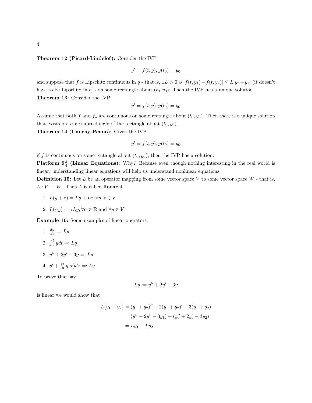#### Theorem 12 (Picard-Lindelof): Consider the IVP

$$
y' = f(t, y), y(t_0) = y_0
$$

and suppose that f is Lipschitz continuous in y - that is,  $\exists L > 0 \ni |f(t, y_1) - f(t, y_2)| \leq L|y_2 - y_1|$  (it doesn't have to be Lipschitz in t) - on some rectangle about  $(t_0, y_0)$ . Then the IVP has a unique solution. Theorem 13: Consider the IVP

$$
y' = f(t, y), y(t_0) = y_0
$$

Assume that both f and  $f_y$  are continuous on some rectangle about  $(t_0, y_0)$ . Then there is a unique solution that exists on some subrectangle of the rectangle about  $(t_0, y_0)$ .

Theorem 14 (Cauchy-Peano): Given the IVP

$$
y' = f(t, y), y(t_0) = y_0
$$

if f is continuous on some rectangle about  $(t_0, y_0)$ , then the IVP has a solution.

**Platform**  $9\frac{3}{4}$  **(Linear Equations):** Why? Because even though nothing interesting in the real world is linear, understanding linear equations will help us understand nonlinear equations.

**Definition 15:** Let  $L$  be an operator mapping from some vector space  $V$  to some vector space  $W$  - that is,  $L: V \to W$ . Then L is called linear if

- 1.  $L(y+z) = Ly + Lz, \forall y, z \in V$
- 2.  $L(\alpha y) = \alpha L y, \forall \alpha \in \mathbb{R}$  and  $\forall y \in V$

Example 16: Some examples of linear operators:

1. 
$$
\frac{dy}{dt} =: Ly
$$
  
2. 
$$
\int_a^b ydt =: Ly
$$
  
3. 
$$
y'' + 2y' - 3y =: Ly
$$

4.  $y' + \int_0^t y(\tau) d\tau =: Ly$ 

To prove that say

$$
Ly := y'' + 2y' - 3y
$$

is linear we would show that

$$
L(y_1 + y_2) = (y_1 + y_2)'' + 2(y_1 + y_2)' - 3(y_1 + y_2)
$$
  
=  $(y_1'' + 2y_1' - 3y_1) + (y_2'' + 2y_2' - 3y_2)$   
=  $Ly_1 + Ly_2$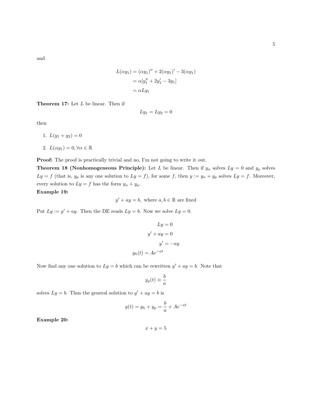and

$$
L(\alpha y_1) = (\alpha y_1)'' + 2(\alpha y_1)' - 3(\alpha y_1)
$$
  
=  $\alpha[y_1'' + 2y_1' - 3y_1]$   
=  $\alpha L y_1$ 

Theorem 17: Let L be linear. Then if

$$
Ly_1 = Ly_2 = 0
$$

then

1.  $L(y_1 + y_2) = 0$ 

2. 
$$
L(\alpha y_1) = 0, \forall \alpha \in \mathbb{R}
$$

Proof: The proof is practically trivial and no, I'm not going to write it out.

**Theorem 18 (Nonhomogeneous Principle):** Let L be linear. Then if  $y_n$  solves  $Ly = 0$  and  $y_p$  solves  $Ly = f$  (that is,  $y_p$  is any one solution to  $Ly = f$ ), for some f, then  $y := y_n + y_p$  solves  $Ly = f$ . Moreover, every solution to  $Ly = f$  has the form  $y_n + y_p$ . Example 19:

 $y' + ay = b$ , where  $a, b \in \mathbb{R}$  are fixed

Put  $Ly := y' + ay$ . Then the DE reads  $Ly = b$ . Now we solve  $Ly = 0$ .

$$
Ly = 0
$$
  

$$
y' + ay = 0
$$
  

$$
y' = -ay
$$
  

$$
y_h(t) = Ae^{-at}
$$

Now find any one solution to  $Ly = b$  which can be rewritten  $y' + ay = b$ . Note that

$$
y_p(t) \equiv \frac{b}{a}
$$

solves  $Ly = b$ . Thus the general solution to  $y' + ay = b$  is

$$
y(t) = y_h + y_p = \frac{b}{a} + Ae^{-at}
$$

Example 20:

 $x + y = 5$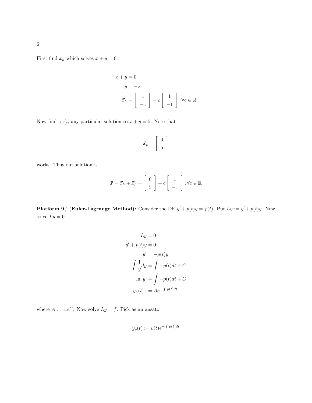First find  $\vec{x}_h$  which solves  $x + y = 0$ .

$$
x + y = 0
$$
  
\n
$$
y = -x
$$
  
\n
$$
\vec{x}_h = \begin{bmatrix} c \\ -c \end{bmatrix} = c \begin{bmatrix} 1 \\ -1 \end{bmatrix}, \forall c \in \mathbb{R}
$$

Now find a  $\vec{x}_p$ , any particular solution to  $x + y = 5$ . Note that

$$
\vec{x}_p = \left[ \begin{array}{c} 0 \\ 5 \end{array} \right]
$$

works. Thus our solution is

$$
\vec{x} = \vec{x}_h + \vec{x}_p = \begin{bmatrix} 0 \\ 5 \end{bmatrix} + c \begin{bmatrix} 1 \\ -1 \end{bmatrix}, \forall c \in \mathbb{R}
$$

**Platform 9**<sup>3</sup>/<sub>4</sub> (Euler-Lagrange Method): Consider the DE  $y' + p(t)y = f(t)$ . Put  $Ly := y' + p(t)y$ . Now solve  $Ly = 0$ .

$$
Ly = 0
$$
  

$$
y' + p(t)y = 0
$$
  

$$
y' = -p(t)y
$$
  

$$
\int \frac{1}{y} dy = \int -p(t)dt + C
$$
  

$$
\ln|y| = \int -p(t)dt + C
$$
  

$$
y_h(t) := Ae^{-\int p(t)dt}
$$

where  $A := \pm e^C$ . Now solve  $Ly = f$ . Pick as an ansatz

$$
y_p(t) := v(t)e^{-\int p(t)dt}
$$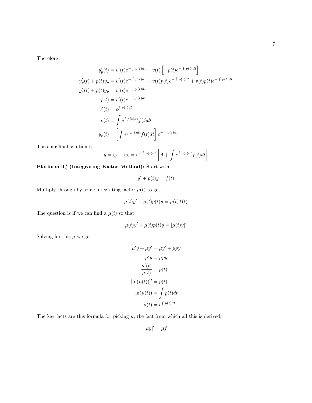Therefore

$$
y_p'(t) = v'(t)e^{-\int p(t)dt} + v(t)\left[-p(t)e^{-\int p(t)dt}\right]
$$
  
\n
$$
y_p'(t) + p(t)y_p = v'(t)e^{-\int p(t)dt} - v(t)p(t)e^{-\int p(t)dt} + v(t)p(t)e^{-\int p(t)dt}
$$
  
\n
$$
y_p'(t) + p(t)y_p = v'(t)e^{-\int p(t)dt}
$$
  
\n
$$
f(t) = v'(t)e^{-\int p(t)dt}
$$
  
\n
$$
v'(t) = e^{\int p(t)dt} f(t)dt
$$
  
\n
$$
y_p(t) = \int e^{\int p(t)dt} f(t)dt \Bigg] e^{-\int p(t)dt}
$$

Thus our final solution is

$$
y = y_p + y_h = e^{-\int p(t)dt} \left[ A + \int e^{\int p(t)dt} f(t)dt \right]
$$

Platform  $9\frac{3}{4}$  (Integrating Factor Method): Start with

$$
y' + p(t)y = f(t)
$$

Multiply through by some integrating factor  $\mu(t)$  to get

$$
\mu(t)y' + \mu(t)p(t)y = \mu(t)f(t)
$$

The question is if we can find a  $\mu(t)$  so that

$$
\mu(t)y' + \mu(t)p(t)y = [\mu(t)y]'
$$

Solving for this  $\mu$  we get

$$
\mu' y + \mu y' = \mu y' + \mu py
$$

$$
\mu' y = \mu py
$$

$$
\frac{\mu'(t)}{\mu(t)} = p(t)
$$

$$
[\ln(\mu(t))]' = p(t)
$$

$$
\ln(\mu(t)) = \int p(t)dt
$$

$$
\mu(t) = e^{\int p(t)dt}
$$

The key facts are this formula for picking  $\mu$ , the fact from which all this is derived,

$$
[\mu y]' = \mu f
$$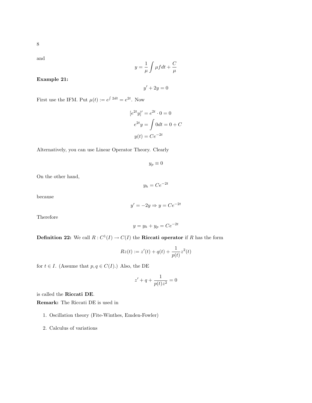and

$$
y = \frac{1}{\mu} \int \mu f dt + \frac{C}{\mu}
$$

Example 21:

 $y' + 2y = 0$ 

First use the IFM. Put  $\mu(t) := e^{\int 2dt} = e^{2t}$ . Now

$$
[e^{2t}y]' = e^{2t} \cdot 0 = 0
$$

$$
e^{2t}y = \int 0 dt = 0 + C
$$

$$
y(t) = Ce^{-2t}
$$

Alternatively, you can use Linear Operator Theory. Clearly

$$
y_p\equiv 0
$$

On the other hand,

$$
y_h = Ce^{-2t}
$$

because

$$
y' = -2y \Rightarrow y = Ce^{-2t}
$$

Therefore

$$
y = y_h + y_p = Ce^{-2t}
$$

**Definition 22:** We call  $R: C^1(I) \to C(I)$  the **Riccati operator** if R has the form

$$
Rz(t) := z'(t) + q(t) + \frac{1}{p(t)}z^{2}(t)
$$

for  $t \in I$ . (Assume that  $p, q \in C(I)$ .) Also, the DE

$$
z'+q+\frac{1}{p(t)z^2}=0
$$

is called the Riccati DE.

Remark: The Riccati DE is used in

- 1. Oscillation theory (Fite-Winthes, Emden-Fowler)
- 2. Calculus of variations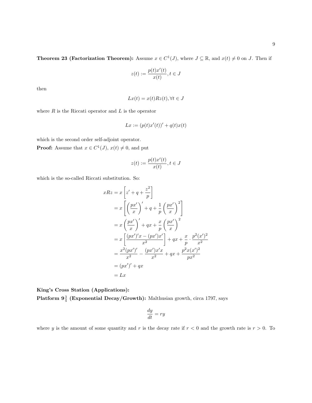**Theorem 23 (Factorization Theorem):** Assume  $x \in C^1(J)$ , where  $J \subseteq \mathbb{R}$ , and  $x(t) \neq 0$  on J. Then if

$$
z(t) := \frac{p(t)x'(t)}{x(t)}, t \in J
$$

then

$$
Lx(t) = x(t)Rz(t), \forall t \in J
$$

where  $R$  is the Riccati operator and  $L$  is the operator

$$
Lx := (p(t)x'(t))' + q(t)x(t)
$$

which is the second order self-adjoint operator.

**Proof:** Assume that  $x \in C^1(J)$ ,  $x(t) \neq 0$ , and put

$$
z(t) := \frac{p(t)x'(t)}{x(t)}, t \in J
$$

which is the so-called Riccati substitution. So:

$$
xRz = x\left[z' + q + \frac{z^2}{p}\right]
$$
  
=  $x\left[\left(\frac{px'}{x}\right)' + q + \frac{1}{p}\left(\frac{px'}{x}\right)^2\right]$   
=  $x\left(\frac{px'}{x}\right)' + qx + \frac{x}{p}\left(\frac{px'}{x}\right)^2$   
=  $x\left[\frac{(px')'x - (px')x'}{x^2}\right] + qx + \frac{x}{p} \cdot \frac{p^2(x')^2}{x^2}$   
=  $\frac{x^2(px')'}{x^2} - \frac{(px')x'x}{x^2} + qx + \frac{p^2x(x')^2}{px^2}$   
=  $(px')' + qx$   
= Lx

King's Cross Station (Applications): Platform  $9\frac{3}{4}$  (Exponential Decay/Growth): Malthusian growth, circa 1797, says

$$
\frac{dy}{dt} = ry
$$

where y is the amount of some quantity and r is the decay rate if  $r < 0$  and the growth rate is  $r > 0$ . To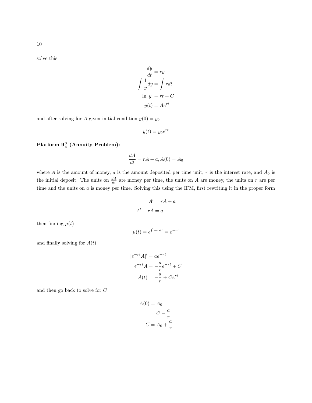solve this

$$
\frac{dy}{dt} = ry
$$

$$
\int \frac{1}{y} dy = \int r dt
$$

$$
\ln|y| = rt + C
$$

$$
y(t) = Ae^{rt}
$$

and after solving for A given initial condition  $y(0) = y_0$ 

$$
y(t) = y_0 e^{rt}
$$

Platform  $9\frac{3}{4}$  (Annuity Problem):

$$
\frac{dA}{dt} = rA + a, A(0) = A_0
$$

where  $A$  is the amount of money,  $a$  is the amount deposited per time unit,  $r$  is the interest rate, and  $A_0$  is the initial deposit. The units on  $\frac{dA}{dt}$  are money per time, the units on A are money, the units on r are per time and the units on a is money per time. Solving this using the IFM, first rewriting it in the proper form

$$
A' = rA + a
$$

$$
A' - rA = a
$$

then finding  $\mu(t)$ 

$$
\mu(t) = e^{\int -rdt} = e^{-rt}
$$

and finally solving for  $A(t)$ 

$$
[e^{-rt}A]' = ae^{-rt}
$$

$$
e^{-rt}A = -\frac{a}{r}e^{-rt} + C
$$

$$
A(t) = -\frac{a}{r} + Ce^{rt}
$$

and then go back to solve for C

$$
A(0) = A_0
$$

$$
= C - \frac{a}{r}
$$

$$
C = A_0 + \frac{a}{r}
$$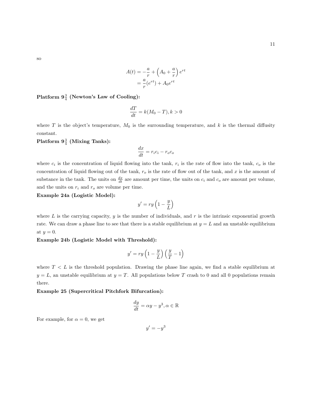so

$$
A(t) = -\frac{a}{r} + \left(A_0 + \frac{a}{r}\right)e^{rt}
$$

$$
= \frac{a}{r}(e^{rt}) + A_0e^{rt}
$$

# Platform  $9\frac{3}{4}$  (Newton's Law of Cooling):

$$
\frac{dT}{dt} = k(M_0 - T), k > 0
$$

where T is the object's temperature,  $M_0$  is the surrounding temperature, and k is the thermal diffusity constant.

 ${\rm Platform} \; 9^{\frac{3}{4}}$  (Mixing Tanks):

$$
\frac{dx}{dt} = r_i c_i - r_o c_o
$$

where  $c_i$  is the concentration of liquid flowing into the tank,  $r_i$  is the rate of flow into the tank,  $c_o$  is the concentration of liquid flowing out of the tank,  $r<sub>o</sub>$  is the rate of flow out of the tank, and x is the amount of substance in the tank. The units on  $\frac{dx}{dt}$  are amount per time, the units on  $c_i$  and  $c_o$  are amount per volume, and the units on  $r_i$  and  $r_o$  are volume per time.

Example 24a (Logistic Model):

$$
y'=ry\left(1-\frac{y}{L}\right)
$$

where  $L$  is the carrying capacity,  $y$  is the number of individuals, and  $r$  is the intrinsic exponential growth rate. We can draw a phase line to see that there is a stable equilibrium at  $y = L$  and an unstable equilibrium at  $y=0$ .

#### Example 24b (Logistic Model with Threshold):

$$
y'=ry\left(1-\frac{y}{L}\right)\left(\frac{y}{T}-1\right)
$$

where  $T < L$  is the threshold population. Drawing the phase line again, we find a stable equilibrium at  $y = L$ , an unstable equilibrium at  $y = T$ . All populations below T crash to 0 and all 0 populations remain there.

#### Example 25 (Supercritical Pitchfork Bifurcation):

$$
\frac{dy}{dt} = \alpha y - y^3, \alpha \in \mathbb{R}
$$

For example, for  $\alpha = 0$ , we get

 $y'=-y^3$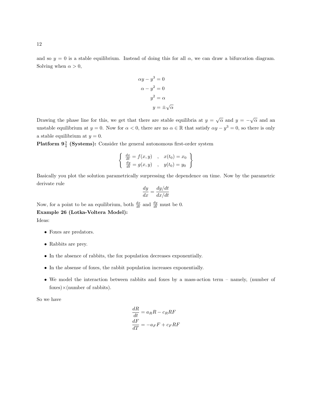and so  $y = 0$  is a stable equilibrium. Instead of doing this for all  $\alpha$ , we can draw a bifurcation diagram. Solving when  $\alpha > 0$ ,

$$
\alpha y - y^3 = 0
$$

$$
\alpha - y^2 = 0
$$

$$
y^2 = \alpha
$$

$$
y = \pm \sqrt{\alpha}
$$

Drawing the phase line for this, we get that there are stable equilibria at  $y = \sqrt{\alpha}$  and  $y = -\sqrt{\alpha}$  and an unstable equilibrium at  $y = 0$ . Now for  $\alpha < 0$ , there are no  $\alpha \in \mathbb{R}$  that satisfy  $\alpha y - y^3 = 0$ , so there is only a stable equilibrium at  $y = 0$ .

**Platform**  $9\frac{3}{4}$  **(Systems):** Consider the general autonomous first-order system

$$
\begin{cases} \frac{dx}{dt} = f(x, y) , x(t_0) = x_0 \\ \frac{dy}{dt} = g(x, y) , y(t_0) = y_0 \end{cases}
$$

Basically you plot the solution parametrically surpressing the dependence on time. Now by the parametric derivate rule

$$
\frac{dy}{dx} = \frac{dy/dt}{dx/dt}
$$

Now, for a point to be an equilibrium, both  $\frac{dx}{dt}$  and  $\frac{dy}{dt}$  must be 0.

Example 26 (Lotka-Voltera Model):

Ideas:

- Foxes are predators.
- Rabbits are prey.
- In the absence of rabbits, the fox population decreases exponentially.
- In the absense of foxes, the rabbit population increases exponentially.
- We model the interaction between rabbits and foxes by a mass-action term namely, (number of  $f$ (number of rabbits).

So we have

$$
\frac{dR}{dt} = a_R R - c_R R F
$$

$$
\frac{dF}{dT} = -a_F F + c_F R F
$$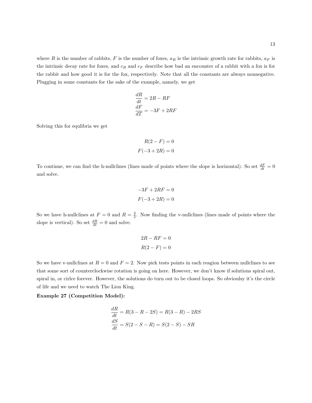where R is the number of rabbits, F is the number of foxes,  $a_R$  is the intrinsic growth rate for rabbits,  $a_F$  is the intrinsic decay rate for foxes, and  $c_R$  and  $c_F$  describe how bad an encounter of a rabbit with a fox is for the rabbit and how good it is for the fox, respectively. Note that all the constants are always nonnegative. Plugging in some constants for the sake of the example, namely, we get

$$
\frac{dR}{dt} = 2R - RF
$$

$$
\frac{dF}{dT} = -3F + 2RF
$$

Solving this for equlibria we get

$$
R(2 - F) = 0
$$

$$
F(-3 + 2R) = 0
$$

To continue, we can find the h-nullclines (lines made of points where the slope is horizontal). So set  $\frac{dF}{dt} = 0$ and solve.

$$
-3F + 2RF = 0
$$

$$
F(-3 + 2R) = 0
$$

So we have h-nullclines at  $F = 0$  and  $R = \frac{3}{2}$ . Now finding the v-nullclines (lines made of points where the slope is vertical). So set  $\frac{dR}{dt} = 0$  and solve.

$$
2R - RF = 0
$$

$$
R(2 - F) = 0
$$

So we have v-nullclines at  $R = 0$  and  $F = 2$ . Now pick tests points in each reagion between nullclines to see that some sort of counterclockwise rotation is going on here. However, we don't know if solutions spiral out, spiral in, or cirlce forever. However, the solutions do turn out to be closed loops. So obvioulsy it's the circle of life and we need to watch The Lion King.

#### Example 27 (Competition Model):

$$
\frac{dR}{dt} = R(3 - R - 2S) = R(3 - R) - 2RS
$$

$$
\frac{dS}{dt} = S(2 - S - R) = S(2 - S) - SR
$$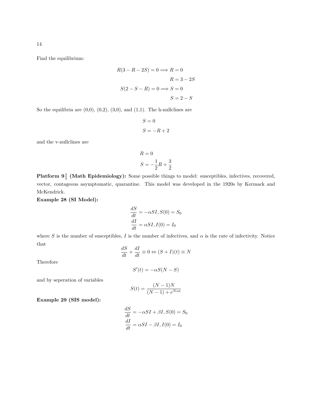Find the equilibrium:

$$
R(3 - R - 2S) = 0 \Longrightarrow R = 0
$$

$$
R = 3 - 2S
$$

$$
S(2 - S - R) = 0 \Longrightarrow S = 0
$$

$$
S = 2 - S
$$

So the equilibria are  $(0,0)$ ,  $(0,2)$ ,  $(3,0)$ , and  $(1,1)$ . The h-nullclines are

$$
S = 0
$$

$$
S = -R + 2
$$

and the v-nullclines are

$$
R = 0
$$
  

$$
S = -\frac{1}{2}R + \frac{3}{2}
$$

**Platform**  $9\frac{3}{4}$  **(Math Epidemiology):** Some possible things to model: susceptibles, infectives, recovered, vector, contageous asymptomatic, quarantine. This model was developed in the 1920s by Kermack and McKendrick.

Example 28 (SI Model):

$$
\frac{dS}{dt} = -\alpha SI, S(0) = S_0
$$

$$
\frac{dI}{dt} = \alpha SI, I(0) = I_0
$$

where S is the number of susceptibles, I is the number of infectives, and  $\alpha$  is the rate of infectivity. Notice that

$$
\frac{dS}{dt} + \frac{dI}{dt} \equiv 0 \Leftrightarrow (S + I)(t) \equiv N
$$

Therefore

$$
S'(t) = -\alpha S(N - S)
$$

and by seperation of variables

$$
S(t) = \frac{(N-1)N}{(N-1) + e^{N\alpha t}}
$$

Example 29 (SIS model):

$$
\frac{dS}{dt} = -\alpha SI + \beta I, S(0) = S_0
$$

$$
\frac{dI}{dt} = \alpha SI - \beta I, I(0) = I_0
$$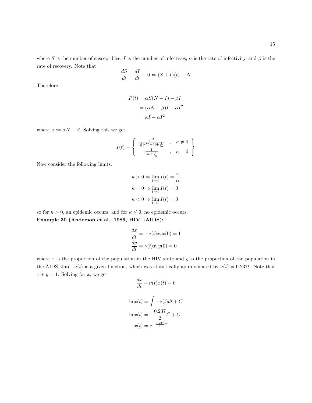where S is the number of susceptibles, I is the number of infectives,  $\alpha$  is the rate of infectivity, and  $\beta$  is the rate of recovery. Note that

$$
\frac{dS}{dt} + \frac{dI}{dt} \equiv 0 \Leftrightarrow (S + I)(t) \equiv N
$$

Therefore

$$
I'(t) = \alpha S(N - I) - \beta I
$$

$$
= (\alpha N - \beta)I - \alpha I^2
$$

$$
= \kappa I - \alpha I^2
$$

where  $\kappa := \alpha N - \beta$ . Solving this we get

$$
I(t)=\left\{\begin{array}{c} \frac{e^{\kappa t}}{\frac{\alpha}{\kappa}[e^{\kappa t}-1]+\frac{1}{I_0}} & , \quad \kappa\neq 0 \\ \frac{1}{\alpha t+\frac{1}{I_0}} & , \quad \kappa=0 \end{array}\right\}
$$

Now consider the following limits:

$$
\kappa > 0 \Rightarrow \lim_{t \to 0} I(t) = \frac{\kappa}{\alpha}
$$

$$
\kappa = 0 \Rightarrow \lim_{t \to 0} I(t) = 0
$$

$$
\kappa < 0 \Rightarrow \lim_{t \to 0} I(t) = 0
$$

so for  $\kappa > 0$ , an epidemic occurs, and for  $\kappa \leq 0$ , no epidemic occurs. Example 30 (Anderson et al., 1986, HIV→AIDS):

$$
\frac{dx}{dt} = -\nu(t)x, x(0) = 1
$$

$$
\frac{dy}{dt} = \nu(t)x, y(0) = 0
$$

where  $x$  is the proportion of the population in the HIV state and  $y$  is the proportion of the population in the AIDS state.  $\nu(t)$  is a given function, which was statistically approximated by  $\nu(t) = 0.237t$ . Note that  $x + y = 1$ . Solving for x, we get

$$
\frac{dx}{dt} + \nu(t)x(t) = 0
$$

$$
\ln x(t) = \int -\nu(t)dt + C
$$

$$
\ln x(t) = -\frac{0.237}{2}t^2 + C
$$

$$
x(t) = e^{-\frac{0.237}{2}t^2}
$$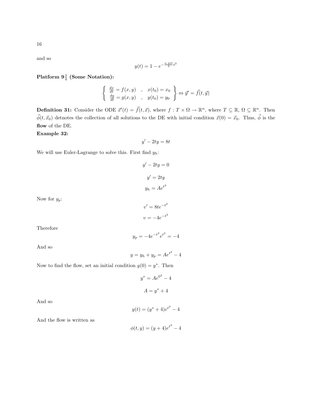and so

$$
y(t) = 1 - e^{-\frac{0.237}{2}t^2}
$$

 ${\rm Platform}$   $9\frac{3}{4}$  (Some Notation):

$$
\begin{cases} \frac{dx}{dt} = f(x, y) , & x(t_0) = x_0 \\ \frac{dy}{dt} = g(x, y) , & y(t_0) = y_0 \end{cases} \Leftrightarrow \vec{y}' = \vec{f}(t, \vec{y})
$$

**Definition 31:** Consider the ODE  $\vec{x}'(t) = \vec{f}(t, \vec{x})$ , where  $f : T \times \Omega \to \mathbb{R}^n$ , where  $T \subseteq \mathbb{R}, \Omega \subseteq \mathbb{R}^n$ . Then  $\vec{\phi}(t, \vec{x}_0)$  detnotes the collection of all solutions to the DE with initial condition  $\vec{x}(0) = \vec{x}_0$ . Thus,  $\vec{\phi}$  is the flow of the DE.

# Example 32:

 $y' - 2ty = 8t$ 

We will use Euler-Lagrange to solve this. First find  $y_h$ :

$$
y' - 2ty = 0
$$

$$
y' = 2ty
$$

$$
y_h = Ae^{t^2}
$$

Now for  $y_p$ :

$$
v' = 8te^{-t^2}
$$

$$
v = -4e^{-t^2}
$$

Therefore

And so

$$
y_p = -4e^{-t^2}e^{t^2} = -4
$$

$$
y = y_h + y_p = Ae^{t^2} - 4
$$

Now to find the flow, set an initial condition  $y(0) = y^*$ . Then

$$
y^* = Ae^{0^2} - 4
$$

$$
A = y^* + 4
$$

And so

$$
y(t) = (y^* + 4)e^{t^2} - 4
$$

And the flow is written as

$$
\phi(t, y) = (y + 4)e^{t^2} - 4
$$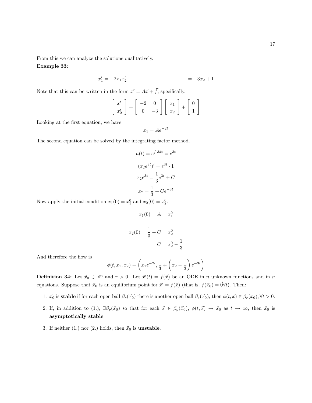From this we can analyze the solutions qualitatively.

# Example 33:

$$
x_1' = -2x_1x_2' = -3x_2 + 1
$$

Note that this can be written in the form  $\vec{x}' = A\vec{x} + \vec{f}$ ; specifically,

$$
\left[\begin{array}{c} x_1' \\ x_2' \end{array}\right] = \left[\begin{array}{cc} -2 & 0 \\ 0 & -3 \end{array}\right] \left[\begin{array}{c} x_1 \\ x_2 \end{array}\right] + \left[\begin{array}{c} 0 \\ 1 \end{array}\right]
$$

Looking at the first equation, we have

 $x_1 = Ae^{-2t}$ 

The second equation can be solved by the integrating factor method.

$$
\mu(t) = e^{\int 3dt} = e^{3t}
$$

$$
(x_2e^{3t})' = e^{3t} \cdot 1
$$

$$
x_2e^{3t} = \frac{1}{3}e^{3t} + C
$$

$$
x_2 = \frac{1}{3} + Ce^{-3t}
$$

Now apply the initial condition  $x_1(0) = x_1^0$  and  $x_2(0) = x_2^0$ .

$$
x_1(0) = A = x_1^0
$$

$$
x_2(0) = \frac{1}{3} + C = x_2^0
$$
  

$$
C = x_2^0 - \frac{1}{3}
$$

1

And therefore the flow is

$$
\phi(t, x_1, x_2) = \left(x_1 e^{-2t}, \frac{1}{3} + \left(x_2 - \frac{1}{3}\right) e^{-3t}\right)
$$

**Definition 34:** Let  $\vec{x}_0 \in \mathbb{R}^n$  and  $r > 0$ . Let  $\vec{x}'(t) = f(\vec{x})$  be an ODE in n unknown functions and in n equations. Suppose that  $\vec{x}_0$  is an equilibrium point for  $\vec{x}' = f(\vec{x})$  (that is,  $f(\vec{x}_0) = \vec{0} \forall t$ ). Then:

- 1.  $\vec{x}_0$  is stable if for each open ball  $\beta_r(\vec{x}_0)$  there is another open ball  $\beta_s(\vec{x}_0)$ , then  $\phi(t, \vec{x}) \in \beta_r(\vec{x}_0)$ ,  $\forall t > 0$ .
- 2. If, in addition to (1.),  $\exists \beta_p(\vec{x}_0)$  so that for each  $\vec{x} \in \beta_p(\vec{x}_0)$ ,  $\phi(t, \vec{x}) \to \vec{x}_0$  as  $t \to \infty$ , then  $\vec{x}_0$  is asymptotically stable.
- 3. If neither (1.) nor (2.) holds, then  $\vec{x}_0$  is **unstable**.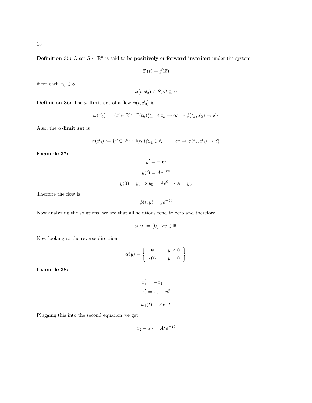Definition 35: A set  $S \subset \mathbb{R}^n$  is said to be **positively** or forward invariant under the system

$$
\vec{x}'(t) = \vec{f}(\vec{x})
$$

if for each  $\vec{x}_0 \in S$ ,

$$
\phi(t, \vec{x}_0) \in S, \forall t \ge 0
$$

**Definition 36:** The  $\omega$ -limit set of a flow  $\phi(t, \vec{x}_0)$  is

$$
\omega(\vec{x}_0) := \{ \vec{x} \in \mathbb{R}^n : \exists (t_k)_{k=1}^\infty \ni t_k \to \infty \Rightarrow \phi(t_k, \vec{x}_0) \to \vec{x} \}
$$

Also, the  $\alpha$ -limit set is

$$
\alpha(\vec{x}_0):=\{\vec{z}\in\mathbb{R}^n:\exists (t_k)_{k=1}^\infty\ni t_k\to-\infty\Rightarrow\phi(t_k,\vec{x}_0)\to\vec{z}\}
$$

Example 37:

$$
y' = -5y
$$

$$
y(t) = Ae^{-5t}
$$

$$
y(0) = y_0 \Rightarrow y_0 = Ae^0 \Rightarrow A = y_0
$$

Therfore the flow is

$$
\phi(t, y) = y e^{-5t}
$$

Now analyzing the solutions, we see that all solutions tend to zero and therefore

$$
\omega(y) = \{0\}, \forall y \in \mathbb{R}
$$

Now looking at the reverse direction,

$$
\alpha(y) = \left\{ \begin{array}{ccc} \emptyset & , & y \neq 0 \\ \{0\} & , & y = 0 \end{array} \right\}
$$

Example 38:

$$
x'_1 = -x_1
$$
  
\n
$$
x'_2 = x_2 + x_1^2
$$
  
\n
$$
x_1(t) = Ae^{-t}
$$

Plugging this into the second equation we get

$$
x_2' - x_2 = A^2 e^{-2t}
$$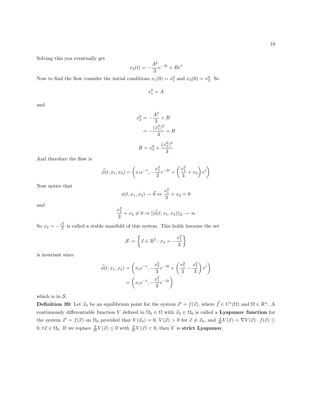Solving this you eventually get

$$
x_2(t) = -\frac{A^2}{3}e^{-2t} + Be^t
$$

Now to find the flow consider the initial conditions  $x_1(0) = x_1^0$  and  $x_2(0) = x_2^0$ . So

 $x_1^0 = A$ 

and

$$
x_2^0 = -\frac{A^2}{3} + B
$$
  
=  $-\frac{(x_1^0)^2}{3} + B$   

$$
B = x_2^0 + \frac{(x_1^0)^2}{3}
$$

And therefore the flow is

$$
\vec{\phi}(t, x_1, x_2) = \left(x_1 e^{-t}, -\frac{x_1^2}{3} e^{-2t} + \left(\frac{x_1^2}{3} + x_2\right) e^t\right)
$$

Now notice that

$$
\phi(t, x_1, x_2) \to \vec{0} \Leftrightarrow \frac{x_1^2}{3} + x_2 = 0
$$

and

$$
\frac{x_1^2}{3} + x_2 \neq 0 \Rightarrow ||\vec{\phi}(t, x_1, x_2)||_2 \to \infty
$$

So  $x_2 = -\frac{x_1^2}{3}$  is called a stable manifold of this system. This holds because the set

$$
\mathcal{S} := \left\{ \vec{x} \in \mathbb{R}^2 : x_2 = -\frac{x_1^2}{3} \right\}
$$

is invariant since

$$
\vec{\phi}(t, x_1, x_2) = \left(x_1 e^{-t}, -\frac{x_1^2}{3} e^{-2t} + \left(\frac{x_1^2}{3} - \frac{x_1^2}{3}\right) e^t\right)
$$

$$
= \left(x_1 e^{-t}, -\frac{x_1^2}{3} e^{-2t}\right)
$$

which is in  $S$ .

**Definition 39:** Let  $\vec{x}_0$  be an equilibrium point for the system  $\vec{x}' = f(\vec{x})$ , where  $\vec{f} \in C^1(\Omega)$  and  $\Omega \in \mathbb{R}^n$ . A continuously differentiable function V defined in  $\Omega_0 \in \Omega$  with  $\vec{x}_0 \in \Omega_0$  is called a **Lyapunov function** for the system  $\vec{x}' = f(\vec{x})$  on  $\Omega_0$  provided that  $V(\vec{x}_0) = 0$ ,  $V(\vec{x}) > 0$  for  $\vec{x} \neq \vec{x}_0$ , and  $\frac{d}{dt}V(\vec{x}) = \nabla V(\vec{x}) \cdot f(\vec{x}) \leq$  $0, \forall \vec{x} \in \Omega_0$ . If we replace  $\frac{d}{dt} V(\vec{x}) \leq 0$  with  $\frac{d}{dt} V(\vec{x}) < 0$ , then V is **strict Lyapunov**.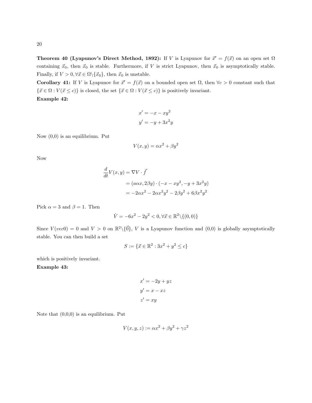**Theorem 40 (Lyapunov's Direct Method, 1892):** If V is Lyapunov for  $\vec{x}' = f(\vec{x})$  on an open set  $\Omega$ containing  $\vec{x}_0$ , then  $\vec{x}_0$  is stable. Furthermore, if V is strict Lyapunov, then  $\vec{x}_0$  is asymptotically stable. Finally, if  $V>0, \forall \vec{x} \in \Omega \backslash \{ \vec{x}_0 \},$  then  $\vec{x}_0$  is unstable.

Corollary 41: If V is Lyapunov for  $\vec{x}' = f(\vec{x})$  on a bounded open set  $\Omega$ , then  $\forall c > 0$  constant such that  $\{\vec{x} \in \Omega : V(\vec{x} \leq c)\}$  is closed, the set  $\{\vec{x} \in \Omega : V(\vec{x} \leq c)\}$  is positively invariant. Example 42:

$$
x' = -x - xy^2
$$

$$
y' = -y + 3x^2y
$$

Now (0,0) is an equilibrium. Put

$$
V(x, y) = \alpha x^2 + \beta y^2
$$

Now

$$
\frac{d}{dt}V(x,y) = \nabla V \cdot \vec{f}
$$
\n
$$
= (a\alpha x, 2\beta y) \cdot (-x - xy^2, -y + 3x^2y)
$$
\n
$$
= -2\alpha x^2 - 2\alpha x^2 y^2 - 2\beta y^2 + 6\beta x^2 y^2
$$

Pick  $\alpha = 3$  and  $\beta = 1$ . Then

$$
\dot{V}=-6x^2-2y^2<0, \forall \vec{x}\in\mathbb{R}^2\backslash\{(0,0)\}
$$

Since  $V(vec0) = 0$  and  $V > 0$  on  $\mathbb{R}^2 \setminus {\{0\}}$ , V is a Lyapunov function and  $(0,0)$  is globally asymptotically stable. You can then build a set

$$
S := \{ \vec{x} \in \mathbb{R}^2 : 3x^2 + y^2 \le c \}
$$

which is positively invariant.

Example 43:

$$
x' = -2y + yz
$$

$$
y' = x - xz
$$

$$
z' = xy
$$

Note that  $(0,0,0)$  is an equilibrium. Put

$$
V(x, y, z) := \alpha x^2 + \beta y^2 + \gamma z^2
$$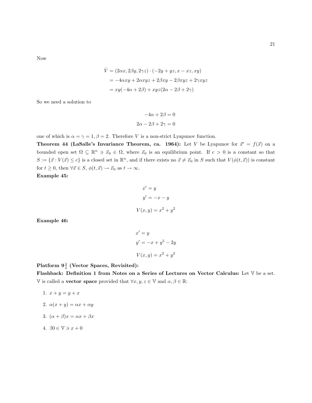Now

$$
\dot{V} = (2\alpha x, 2\beta y, 2\gamma z) \cdot (-2y + yz, x - xz, xy)
$$
  
=  $-4\alpha xy + 2\alpha xyz + 2\beta xy - 2\beta xyz + 2\gamma xyz$   
=  $xy(-4\alpha + 2\beta) + xyz(2\alpha - 2\beta + 2\gamma)$ 

So we need a solution to

$$
-4\alpha + 2\beta = 0
$$

$$
2\alpha - 2\beta + 2\gamma = 0
$$

one of which is  $\alpha = \gamma = 1, \beta = 2$ . Therefore V is a non-strict Lyapunov function.

**Theorem 44 (LaSalle's Invariance Theorem, ca. 1964):** Let V be Lyapunov for  $\vec{x}' = f(\vec{x})$  on a bounded open set  $\Omega \subseteq \mathbb{R}^n \ni \vec{x}_0 \in \Omega$ , where  $\vec{x}_0$  is an equilibrium point. If  $c > 0$  is a constant so that  $S := \{\vec{x} : V(\vec{x}) \le c\}$  is a closed set in  $\mathbb{R}^n$ , and if there exists no  $\vec{x} \ne \vec{x}_0$  in S such that  $V(\phi(t, \vec{x}))$  is constant for  $t \geq 0$ , then  $\forall \vec{x} \in S$ ,  $\phi(t, \vec{x}) \rightarrow \vec{x}_0$  as  $t \rightarrow \infty$ .

Example 45:

$$
x' = y
$$
  

$$
y' = -x - y
$$
  

$$
V(x, y) = x2 + y2
$$

Example 46:

$$
x' = y
$$
  

$$
y' = -x + y5 - 2y
$$
  

$$
V(x, y) = x2 + y2
$$

 ${\rm Platform}$   $9\frac{3}{4}$  (Vector Spaces, Revisited):

Flashback: Definition 1 from Notes on a Series of Lectures on Vector Calculus: Let V be a set.  $\mathbb {V}$  is called a vector space provided that  $\forall x,y,z \in \mathbb {V}$  and  $\alpha,\beta \in \mathbb {R} \colon$ 

- 1.  $x + y = y + x$
- 2.  $\alpha(x+y) = \alpha x + \alpha y$
- 3.  $(\alpha + \beta)x = \alpha x + \beta x$
- 4.  $\exists 0 \in \mathbb{V} \ni x + 0$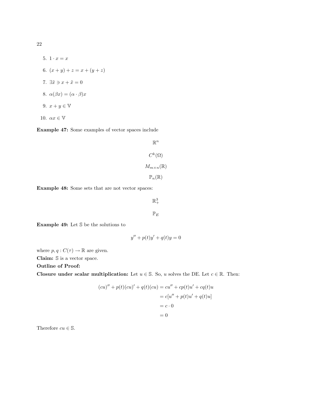5.  $1 \cdot x = x$ 6.  $(x + y) + z = x + (y + z)$ 7.  $\exists \tilde{x} \ni x + \tilde{x} = 0$ 8.  $\alpha(\beta x) = (\alpha \cdot \beta)x$ 9.  $x + y \in \mathbb{V}$ 10.  $\alpha x \in V$ 

Example 47: Some examples of vector spaces include

$$
\mathbb{R}^{n}
$$

$$
C^{k}(\Omega)
$$

$$
M_{m \times n}(\mathbb{R})
$$

$$
\mathbb{P}_{n}(\mathbb{R})
$$

Example 48: Some sets that are not vector spaces:

 $\mathbb{R}^3_+$ 

 $\mathbb{P}_E$ 

Example 49: Let S be the solutions to

$$
y'' + p(t)y' + q(t)y = 0
$$

where  $p, q : C(\tau) \to \mathbb{R}$  are given.

Claim: S is a vector space.

Outline of Proof:

Closure under scalar multiplication: Let  $u \in \mathbb{S}$ . So, u solves the DE. Let  $c \in \mathbb{R}$ . Then:

$$
(cu)'' + p(t)(cu)' + q(t)(cu) = cu'' + cp(t)u' + cq(t)u
$$

$$
= c[u'' + p(t)u' + q(t)u]
$$

$$
= c \cdot 0
$$

$$
= 0
$$

Therefore  $cu \in \mathbb{S}$ .

22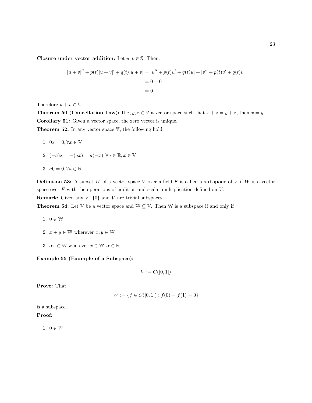Closure under vector addition: Let  $u, v \in \mathbb{S}$ . Then:

$$
[u + v]'' + p(t)[u + v]' + q(t)[u + v] = [u'' + p(t)u' + q(t)u] + [v'' + p(t)v' + q(t)v]
$$
  
= 0 + 0  
= 0

Therefore  $u + v \in \mathbb{S}$ .

**Theorem 50 (Cancellation Law):** If  $x, y, z \in V$  a vector space such that  $x + z = y + z$ , then  $x = y$ . Corollary 51: Given a vector space, the zero vector is unique.

**Theorem 52:** In any vector space  $V$ , the following hold:

1. 
$$
0x = 0, \forall x \in \mathbb{V}
$$

2.  $(-a)x = -(ax) = a(-x), \forall a \in \mathbb{R}, x \in \mathbb{V}$ 

3. 
$$
a0 = 0, \forall a \in \mathbb{R}
$$

**Definition 53:** A subset W of a vector space V over a field  $F$  is called a **subspace** of V if W is a vector space over  $F$  with the operations of addition and scalar multiplication defined on  $V$ .

**Remark:** Given any  $V$ ,  $\{0\}$  and  $V$  are trivial subspaces.

**Theorem 54:** Let  $V$  be a vector space and  $W \subseteq V$ . Then  $W$  is a subspace if and only if

- 1.  $0 \in \mathbb{W}$
- 2.  $x + y \in \mathbb{W}$  wherever  $x, y \in \mathbb{W}$
- 3.  $\alpha x \in \mathbb{W}$  wherever  $x \in \mathbb{W}, \alpha \in \mathbb{R}$

Example 55 (Example of a Subspace):

$$
V := C([0,1])
$$

Prove: That

$$
W := \{ f \in C([0,1]) : f(0) = f(1) = 0 \}
$$

is a subspace.

#### Proof:

1.  $0 \in W$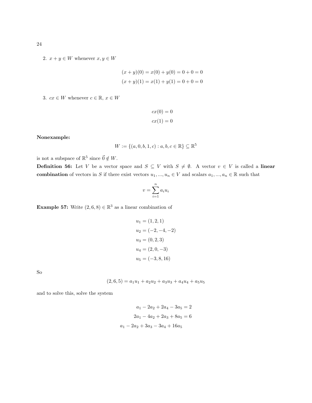$$
(x + y)(0) = x(0) + y(0) = 0 + 0 = 0
$$
  

$$
(x + y)(1) = x(1) + y(1) = 0 + 0 = 0
$$

3.  $cx \in W$  whenever  $c \in \mathbb{R}$ ,  $x \in W$ 

$$
cx(0) = 0
$$

$$
cx(1) = 0
$$

Nonexample:

$$
W := \{(a, 0, b, 1, c) : a, b, c \in \mathbb{R}\} \subseteq \mathbb{R}^5
$$

is not a subspace of  $\mathbb{R}^5$  since  $\vec{0} \notin W$ .

**Definition 56:** Let V be a vector space and  $S \subseteq V$  with  $S \neq \emptyset$ . A vector  $v \in V$  is called a linear combination of vectors in S if there exist vectors  $u_1, ..., u_n \in V$  and scalars  $a_1, ..., a_n \in \mathbb{R}$  such that

$$
v = \sum_{i=1}^{n} a_i u_i
$$

**Example 57:** Write  $(2, 6, 8) \in \mathbb{R}^3$  as a linear combination of

$$
u_1 = (1, 2, 1)
$$
  
\n
$$
u_2 = (-2, -4, -2)
$$
  
\n
$$
u_3 = (0, 2, 3)
$$
  
\n
$$
u_4 = (2, 0, -3)
$$
  
\n
$$
u_5 = (-3, 8, 16)
$$

So

$$
(2,6,5) = a_1u_1 + a_2u_2 + a_3u_3 + a_4u_4 + a_5u_5
$$

and to solve this, solve the system

$$
a_1 - 2a_2 + 2a_4 - 3a_5 = 2
$$

$$
2a_1 - 4a_2 + 2a_3 + 8a_5 = 6
$$

$$
a_1 - 2a_2 + 3a_3 - 3a_4 + 16a_5
$$

24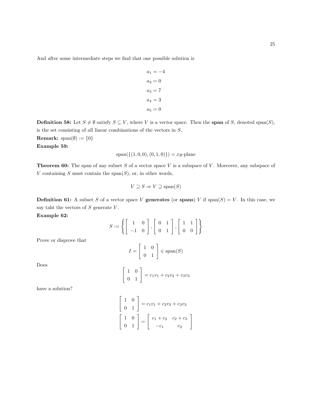And after some intermediate steps we find that one possible solution is

$$
a_1 = -4
$$
  
\n
$$
a_2 = 0
$$
  
\n
$$
a_3 = 7
$$
  
\n
$$
a_4 = 3
$$
  
\n
$$
a_5 = 0
$$

**Definition 58:** Let  $S \neq \emptyset$  satisfy  $S \subseteq V$ , where V is a vector space. Then the **span** of S, denoted span(S), is the set consisting of all linear combinations of the vectors in S.

Remark:  $\text{span}(\emptyset) := \{0\}$ Example 59:

$$
span({(1,0,0),(0,1,0)}) = xy
$$
-plane

**Theorem 60:** The span of any subset S of a vector space V is a subspace of V. Moreover, any subspace of V containing  $S$  must contain the span $(S)$ , or, in other words,

$$
V \supseteq S \Rightarrow V \supseteq \text{span}(S)
$$

**Definition 61:** A subset S of a vector space V generates (or spans) V if  $\text{span}(S) = V$ . In this case, we say taht the vectors of  $S$  generate  $V$ .

Example 62:

$$
S := \left\{ \left[ \begin{array}{rr} 1 & 0 \\ -1 & 0 \end{array} \right], \left[ \begin{array}{rr} 0 & 1 \\ 0 & 1 \end{array} \right], \left[ \begin{array}{rr} 1 & 1 \\ 0 & 0 \end{array} \right] \right\}
$$

Prove or disprove that

$$
I = \left[ \begin{array}{cc} 1 & 0 \\ 0 & 1 \end{array} \right] \in \text{span}(S)
$$

Does

$$
\begin{bmatrix} 1 & 0 \ 0 & 1 \end{bmatrix} = c_1v_1 + c_2v_2 + c_3v_3
$$

have a solution?

$$
\begin{bmatrix} 1 & 0 \ 0 & 1 \end{bmatrix} = c_1v_1 + c_2v_2 + c_3v_3
$$

$$
\begin{bmatrix} 1 & 0 \ 0 & 1 \end{bmatrix} = \begin{bmatrix} c_1 + c_2 & c_2 + c_3 \ -c_1 & c_2 \end{bmatrix}
$$

1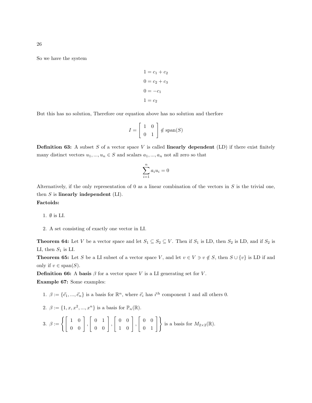So we have the system

$$
1 = c1 + c2
$$

$$
0 = c2 + c3
$$

$$
0 = -c1
$$

$$
1 = c2
$$

But this has no solution, Therefore our equation above has no solution and therfore

$$
I = \left[ \begin{array}{cc} 1 & 0 \\ 0 & 1 \end{array} \right] \notin \text{span}(S)
$$

**Definition 63:** A subset S of a vector space V is called **linearly dependent** (LD) if there exist finitely many distinct vectors  $u_1, ..., u_n \in S$  and scalars  $a_1, ..., a_n$  not all zero so that

$$
\sum_{i=1}^{n} a_i u_i = 0
$$

Alternatively, if the only representation of 0 as a linear combination of the vectors in  $S$  is the trivial one, then  $S$  is linearly independent  $(LI)$ . Factoids:

1. ∅ is LI.

2. A set consisting of exactly one vector in LI.

**Theorem 64:** Let V be a vector space and let  $S_1 \subseteq S_2 \subseteq V$ . Then if  $S_1$  is LD, then  $S_2$  is LD, and if  $S_2$  is LI, then  $S_1$  is LI.

**Theorem 65:** Let S be a LI subset of a vector space V, and let  $v \in V \ni v \notin S$ , then  $S \cup \{v\}$  is LD if and only if  $v \in \text{span}(S)$ .

**Definition 66:** A basis  $\beta$  for a vector space V is a LI generating set for V.

Example 67: Some examples:

- 1.  $\beta := {\vec{e_1}, ..., \vec{e_n}}$  is a basis for  $\mathbb{R}^n$ , where  $\vec{e_i}$  has  $i^{\text{th}}$  component 1 and all others 0.
- 2.  $\beta := \{1, x, x^2, ..., x^n\}$  is a basis for  $\mathbb{P}_n(\mathbb{R})$ .
- 3.  $\beta := \left\{ \begin{bmatrix} 1 & 0 \\ 0 & 0 \end{bmatrix} \right\}$ ,  $\left[\begin{array}{cc} 0 & 1 \\ 0 & 0 \end{array}\right]$ ,  $\left[\begin{array}{cc} 0 & 0 \\ 1 & 0 \end{array}\right]$ ,  $\begin{bmatrix} 0 & 0 \\ 0 & 1 \end{bmatrix}$  is a basis for  $M_{2\times2}(\mathbb{R})$ .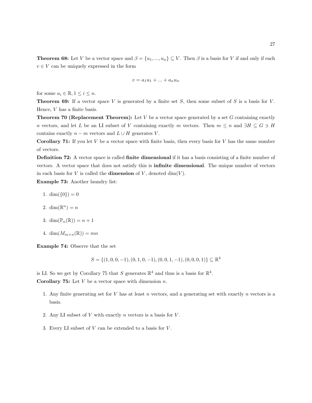**Theorem 68:** Let V be a vector space and  $\beta = \{u_1, ..., u_n\} \subseteq V$ . Then  $\beta$  is a basis for V if and only if each  $v \in V$  can be uniquely expressed in the form

$$
v = a_1 u_1 + \dots + a_n u_n
$$

for some  $a_i \in \mathbb{R}, 1 \leq i \leq n$ .

**Theorem 69:** If a vector space V is generated by a finite set S, then some subset of S is a basis for V. Hence,  $V$  has a finite basis.

**Theorem 70 (Replacement Theorem):** Let  $V$  be a vector space generated by a set  $G$  containing exactly n vectors, and let L be an LI subset of V containing exactly m vectors. Then  $m \leq n$  and  $\exists H \subseteq G \ni H$ contains exactly  $n - m$  vectors and  $L \cup H$  generates V.

**Corollary 71:** If you let  $V$  be a vector space with finite basis, then every basis for  $V$  has the same number of vectors.

Definition 72: A vector space is called finite dimensional if it has a basis consisting of a finite number of vectors. A vector space that does not satisfy this is infinite dimensional. The unique number of vectors in each basis for  $V$  is called the **dimension** of  $V$ , denoted dim( $V$ ).

Example 73: Another laundry list:

- 1.  $\dim({0}) = 0$
- 2. dim $(\mathbb{R}^n) = n$
- 3. dim $(\mathbb{P}_n(\mathbb{R})) = n + 1$
- 4. dim $(M_{m \times n}(\mathbb{R})) = mn$

Example 74: Observe that the set

 $S = \{(1, 0, 0, -1), (0, 1, 0, -1), (0, 0, 1, -1), (0, 0, 0, 1)\} \subseteq \mathbb{R}^4$ 

is LI. So we get by Corollary 75 that S generates  $\mathbb{R}^4$  and thus is a basis for  $\mathbb{R}^4$ .

**Corollary 75:** Let  $V$  be a vector space with dimension  $n$ .

- 1. Any finite generating set for  $V$  has at least  $n$  vectors, and a generating set with exactly  $n$  vectors is a basis.
- 2. Any LI subset of  $V$  with exactly  $n$  vectors is a basis for  $V$ .
- 3. Every LI subset of  $V$  can be extended to a basis for  $V$ .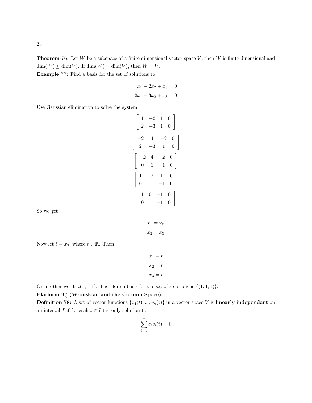**Theorem 76:** Let W be a subspace of a finite dimensional vector space V, then W is finite dinensional and  $\dim(W) \leq \dim(V)$ . If  $\dim(W) = \dim(V)$ , then  $W = V$ . Example 77: Find a basis for the set of solutions to

$$
x_1 - 2x_2 + x_3 = 0
$$
  

$$
2x_1 - 3x_2 + x_3 = 0
$$

Use Gaussian elimination to solve the system.

$$
\begin{bmatrix} 1 & -2 & 1 & 0 \ 2 & -3 & 1 & 0 \end{bmatrix}
$$
  
\n
$$
\begin{bmatrix} -2 & 4 & -2 & 0 \ 2 & -3 & 1 & 0 \end{bmatrix}
$$
  
\n
$$
\begin{bmatrix} -2 & 4 & -2 & 0 \ 0 & 1 & -1 & 0 \end{bmatrix}
$$
  
\n
$$
\begin{bmatrix} 1 & -2 & 1 & 0 \ 0 & 1 & -1 & 0 \end{bmatrix}
$$
  
\n
$$
\begin{bmatrix} 1 & 0 & -1 & 0 \ 0 & 1 & -1 & 0 \end{bmatrix}
$$

So we get

$$
x_1 = x_3
$$

$$
x_2 = x_3
$$

Now let  $t = x_3$ , where  $t \in \mathbb{R}$ . Then

$$
x_1 = t
$$

$$
x_2 = t
$$

$$
x_3 = t
$$

Or in other words  $t(1, 1, 1)$ . Therefore a basis for the set of solutions is  $\{(1, 1, 1)\}.$ 

# Platform  $9\frac{3}{4}$  (Wronskian and the Column Space):

**Definition 78:** A set of vector functions  $\{v_1(t), ..., v_n(t)\}$  in a vector space V is **linearly independant** on an interval  $I$  if for each  $t \in I$  the only solution to

$$
\sum_{i=1}^{n} c_i v_i(t) = 0
$$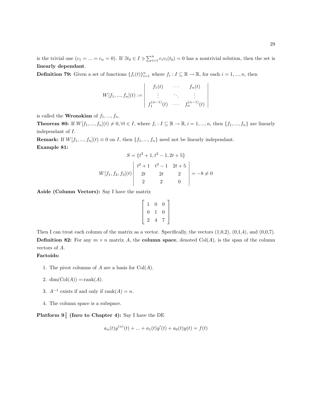is the trivial one  $(c_1 = ... = c_n = 0)$ . If  $\exists t_0 \in I \ni \sum_{i=1}^n c_i v_i(t_0) = 0$  has a nontrivial solution, then the set is linearly dependant.

**Definition 79:** Given a set of functions  $\{f_i(t)\}_{i=1}^n$  where  $f_i: I \subseteq \mathbb{R} \to \mathbb{R}$ , for each  $i = 1, ..., n$ , then

$$
W[f_1, ..., f_n](t) := \begin{vmatrix} f_1(t) & \cdots & f_n(t) \\ \vdots & \ddots & \vdots \\ f_1^{(n-1)}(t) & \cdots & f_n^{(n-1)}(t) \end{vmatrix}
$$

is called the **Wronskian** of  $f_1, ..., f_n$ .

**Theorem 80:** If  $W[f_1, ..., f_n](t) \neq 0, \forall t \in I$ , where  $f_i : I \subseteq \mathbb{R} \to \mathbb{R}, i = 1, ..., n$ , then  $\{f_1, ..., f_n\}$  are linearly independant of I.

**Remark:** If  $W[f_1, ..., f_n](t) \equiv 0$  on *I*, then  $\{f_1, ..., f_n\}$  need not be linearly independant. Example 81:

$$
S = \{t^2 + 1, t^2 - 1, 2t + 5\}
$$
  

$$
W[f_1, f_2, f_3](t) \begin{vmatrix} t^2 + 1 & t^2 - 1 & 2t + 5 \ 2t & 2t & 2 \ 2 & 2 & 0 \end{vmatrix} = -8 \neq 0
$$

Aside (Column Vectors): Say I have the matrix

$$
\left[\begin{array}{ccc} 1 & 0 & 0 \\ 0 & 1 & 0 \\ 2 & 4 & 7 \end{array}\right]
$$

Then I can treat each column of the matrix as a vector. Specifically, the vectors  $(1,0,2)$ ,  $(0,1,4)$ , and  $(0,0,7)$ . **Definition 82:** For any  $m \times n$  matrix A, the **column space**, denoted Col(A), is the span of the column vectors of A.

# Factoids:

- 1. The pivot columns of  $A$  are a basis for  $Col(A)$ .
- 2. dim $(Col(A)) = \text{rank}(A)$ .
- 3.  $A^{-1}$  exists if and only if rank $(A) = n$ .
- 4. The column space is a subspace.

Platform  $9\frac{3}{4}$  (Inro to Chapter 4): Say I have the DE

$$
a_n(t)y^{(n)}(t) + \dots + a_1(t)y'(t) + a_0(t)y(t) = f(t)
$$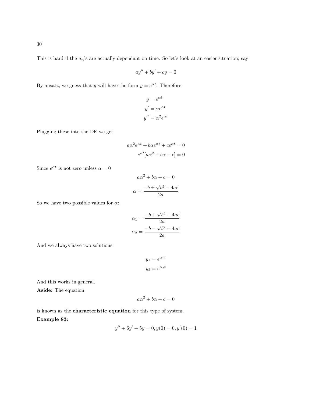This is hard if the  $a_n$ 's are actually dependant on time. So let's look at an easier situation, say

$$
ay'' + by' + cy = 0
$$

By ansatz, we guess that y will have the form  $y = e^{\alpha t}$ . Therefore

$$
y = e^{\alpha t}
$$

$$
y' = \alpha e^{\alpha t}
$$

$$
y'' = \alpha^2 e^{\alpha t}
$$

Plugging these into the DE we get

$$
a\alpha^2 e^{\alpha t} + b\alpha e^{\alpha t} + c e^{\alpha t} = 0
$$

$$
e^{\alpha t} [a\alpha^2 + b\alpha + c] = 0
$$

Since  $e^{\alpha t}$  is not zero unless  $\alpha = 0$ 

$$
a\alpha^{2} + b\alpha + c = 0
$$

$$
\alpha = \frac{-b \pm \sqrt{b^{2} - 4ac}}{2a}
$$

So we have two possible values for  $\alpha:$ 

$$
\alpha_1 = \frac{-b + \sqrt{b^2 - 4ac}}{2a}
$$

$$
\alpha_2 = \frac{-b - \sqrt{b^2 - 4ac}}{2a}
$$

And we always have two solutions:

$$
y_1 = e^{\alpha_1 t}
$$

$$
y_2 = e^{\alpha_2 t}
$$

And this works in general.

Aside: The equation

$$
a\alpha^2 + b\alpha + c = 0
$$

is known as the characteristic equation for this type of system. Example 83:

$$
y'' + 6y' + 5y = 0, y(0) = 0, y'(0) = 1
$$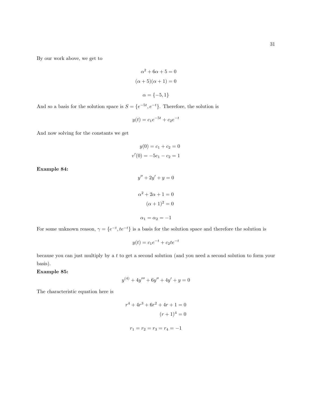By our work above, we get to

$$
\alpha^{2} + 6\alpha + 5 = 0
$$

$$
(\alpha + 5)(\alpha + 1) = 0
$$

$$
\alpha = \{-5, 1\}
$$

And so a basis for the solution space is  $S = \{e^{-5t}, e^{-t}\}\$ . Therefore, the solution is

$$
y(t) = c_1 e^{-5t} + c_2 e^{-t}
$$

And now solving for the constants we get

$$
y(0) = c_1 + c_2 = 0
$$

$$
v'(0) = -5c_1 - c_2 = 1
$$

Example 84:

$$
y'' + 2y' + y = 0
$$

$$
\alpha^{2} + 2\alpha + 1 = 0
$$

$$
(\alpha + 1)^{2} = 0
$$

$$
\alpha_{1} = \alpha_{2} = -1
$$

For some unknown reason,  $\gamma = \{e^{-t}, te^{-t}\}\$ is a basis for the solution space and therefore the solution is

$$
y(t) = c_1 e^{-t} + c_2 t e^{-t}
$$

because you can just multiply by a t to get a second solution (and you need a second solution to form your basis).

Example 85:

$$
y^{(4)} + 4y''' + 6y'' + 4y' + y = 0
$$

The characteristic equation here is

$$
r4 + 4r3 + 6r2 + 4r + 1 = 0
$$

$$
(r + 1)4 = 0
$$

$$
r1 = r2 = r3 = r4 = -1
$$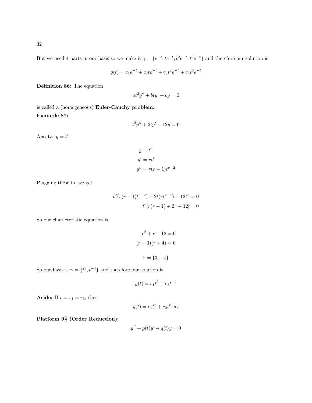But we need 4 parts in our basis so we make it  $\gamma = \{e^{-t}, te^{-t}, t^2e^{-t}, t^3e^{-t}\}\$  and therefore our solution is

$$
y(t) = c_1 e^{-t} + c_2 t e^{-t} + c_3 t^2 e^{-t} + c_4 t^3 e^{-t}
$$

Definition 86: The equation

$$
at^2y'' + bty' + cy = 0
$$

is called a (homogeneous) Euler-Cauchy problem. Example 87:

$$
t^2y'' + 2ty' - 12y = 0
$$

Ansatz:  $y = t^r$ 

$$
y = tr
$$
  

$$
y' = rtr-1
$$
  

$$
y'' = r(r - 1)tr-2
$$

Plugging these in, we get

$$
t^{2}(r(r-1)t^{r-2}) + 2t(rt^{r-1}) - 12t^{r} = 0
$$

$$
t^{r}[r(r-1) + 2r - 12] = 0
$$

So our characteristic equation is

$$
r2 + r - 12 = 0
$$

$$
(r - 3)(r + 4) = 0
$$

$$
r = \{3, -4\}
$$

So our basis is  $\gamma = \{t^3, t^{-4}\}\$ and therefore our solution is

$$
y(t) = c_1 t^3 + c_2 t^{-4}
$$

Aside: If  $r = r_1 = r_2$ , then

$$
y(t) = c_1 t^r + c_2 t^r \ln t
$$

 ${\bf Platform}$   $9\frac{3}{4}$  (Order Reduction):

$$
y'' + p(t)y' + q(t)y = 0
$$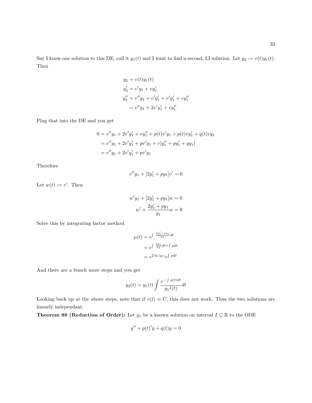$$
y_2 = v(t)y_1(t)
$$
  
\n
$$
y'_2 = v'y_1 + vy'_1
$$
  
\n
$$
y''_2 = v''y_1 + v'y'_1 + v'y'_1 + vy''_1
$$
  
\n
$$
= v''y_1 + 2v'y'_1 + vy''_1
$$

Plug that into the DE and you get

$$
0 = v''y_1 + 2v'y'_1 + vy''_1 + p(t)v'y_1 + p(t)v'y'_1 + q(t)v y_1
$$
  
=  $v''y_1 + 2v'y'_1 + pv'y_1 + v[y''_1 + py'_1 + qy_1]$   
=  $v''y_1 + 2v'y'_1 + pv'y_1$ 

Therefore

$$
v''y_1 + [2y_1' + py_1]v' = 0
$$

Let  $w(t) := v'$ . Then

$$
w'y_1 + [2y'_1 + py_1]w = 0
$$

$$
w' + \frac{2y'_1 + py_1}{y_1}w = 0
$$

Solve this by integrating factor method.

$$
\mu(t) = e^{\int \frac{2y'_1 + py_1}{y_1} dt}
$$

$$
= e^{\int \frac{2y_1}{y_1} dt + \int p dt}
$$

$$
= e^{\int 2\ln|y_1|} e^{\int p dt}
$$

And there are a bunch more steps and you get

$$
y_2(t) = y_1(t) \int \frac{e^{-\int p(t)dt}}{y_1^2(t)} dt
$$

Looking back up at the above steps, note that if  $v(t) \equiv C$ , this does not work. Thus the two solutions are linearly independant.

**Theorem 88 (Reduction of Order):** Let  $y_1$  be a known solution on interval  $I \subseteq \mathbb{R}$  to the ODE

$$
y'' + p(t)'y + q(t)y = 0
$$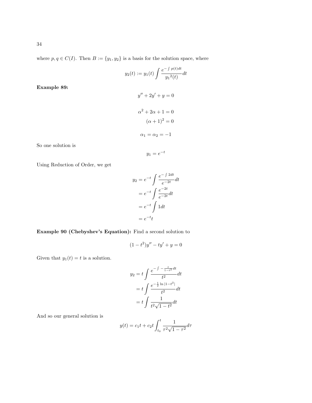where  $p, q \in C(I)$ . Then  $B := \{y_1, y_2\}$  is a basis for the solution space, where

$$
y_2(t) := y_1(t) \int \frac{e^{-\int p(t)dt}}{y_1^2(t)} dt
$$

 $y'' + 2y' + y = 0$ 

 $\alpha^2 + 2\alpha + 1 = 0$  $(\alpha + 1)^2 = 0$ 

Example 89:

So one solution is

$$
y_1 = e^{-t}
$$

 $\alpha_1 = \alpha_2 = -1$ 

Using Reduction of Order, we get

$$
y_2 = e^{-t} \int \frac{e^{-\int 2dt}}{e^{-2t}} dt
$$

$$
= e^{-t} \int \frac{e^{-2t}}{e^{-2t}} dt
$$

$$
= e^{-t} \int 1 dt
$$

$$
= e^{-t} t
$$

# Example 90 (Chebyshev's Equation): Find a second solution to

$$
(1 - t^2)y'' - ty' + y = 0
$$

Given that  $y_1(t) = t$  is a solution.

$$
y_2 = t \int \frac{e^{-\int -\frac{t}{1-t^2}dt}}{t^2} dt
$$
  
=  $t \int \frac{e^{-\frac{1}{2}\ln|1-t^2|}}{t^2} dt$   
=  $t \int \frac{1}{t^2 \sqrt{1-t^2}} dt$ 

And so our general solution is

$$
y(t) = c_1 t + c_2 t \int_{t_0}^{t} \frac{1}{\tau^2 \sqrt{1 - \tau^2}} d\tau
$$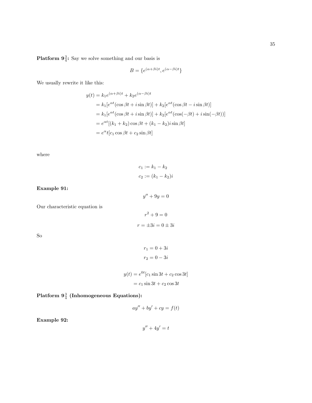**Platform**  $9\frac{3}{4}$ **:** Say we solve something and our basis is

$$
B=\{e^{(\alpha+\beta i)t},e^{(\alpha-\beta i)t}\}
$$

We usually rewrite it like this:

$$
y(t) = k_1 e^{(\alpha + \beta i)t} + k_2 e^{(\alpha - \beta i)t}
$$
  
=  $k_1 [e^{\alpha t} (\cos \beta t + i \sin \beta t)] + k_2 [e^{\alpha t} (\cos \beta t - i \sin \beta t)]$   
=  $k_1 [e^{\alpha t} (\cos \beta t + i \sin \beta t)] + k_2 [e^{\alpha t} (\cos(-\beta t) + i \sin(-\beta t))]$   
=  $e^{\alpha t} [(k_1 + k_2) \cos \beta t + (k_1 - k_2) i \sin \beta t]$   
=  $e^{\alpha t} [c_1 \cos \beta t + c_2 \sin \beta t]$ 

where

 $c_1 := k_1 - k_2$  $c_2 := (k_1 - k_2)i$ 

Example 91:

$$
y'' + 9y = 0
$$

Our characteristic equation is

$$
r^2 + 9 = 0
$$

$$
r = \pm 3i = 0 \pm 3i
$$

So

$$
r_1 = 0 + 3i
$$

$$
r_2 = 0 - 3i
$$

$$
y(t) = e^{0t}[c_1 \sin 3t + c_2 \cos 3t]
$$

$$
= c_1 \sin 3t + c_2 \cos 3t
$$

Platform  $9\frac{3}{4}$  (Inhomogeneous Equations):

$$
ay'' + by' + cy = f(t)
$$

Example 92:

$$
y'' + 4y' = t
$$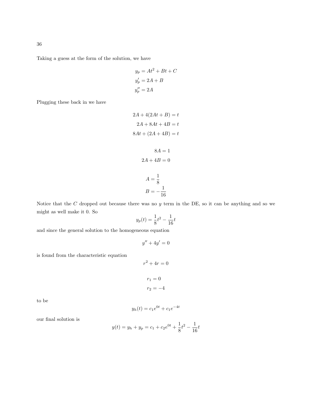Taking a guess at the form of the solution, we have

$$
y_p = At^2 + Bt + C
$$
  

$$
y'_p = 2A + B
$$
  

$$
y''_p = 2A
$$

Plugging these back in we have

$$
2A + 4(2At + B) = t
$$

$$
2A + 8At + 4B = t
$$

$$
8At + (2A + 4B) = t
$$

$$
8A = 1
$$

$$
2A + 4B = 0
$$

$$
A = \frac{1}{2}
$$

$$
A = \frac{1}{8}
$$

$$
B = -\frac{1}{16}
$$

Notice that the  $C$  dropped out because there was no  $y$  term in the DE, so it can be anything and so we might as well make it 0. So

$$
y_p(t) = \frac{1}{8}t^2 - \frac{1}{16}t
$$

and since the general solution to the homogeneous equation

$$
y'' + 4y' = 0
$$

is found from the characteristic equation

$$
r^{2} + 4r = 0
$$

$$
r_{1} = 0
$$

$$
r_{2} = -4
$$

to be

$$
y_h(t) = c_1 e^{0t} + c_1 e^{-4t}
$$

our final solution is

$$
y(t) = y_h + y_p = c_1 + c_2 e^{0t} + \frac{1}{8}t^2 - \frac{1}{16}t
$$

36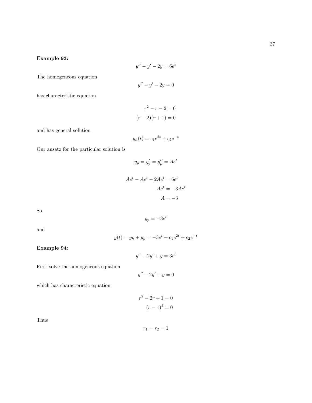### Example 93:

$$
y'' - y' - 2y = 6e^t
$$

The homogeneous equation

$$
y'' - y' - 2y = 0
$$

has characteristic equation

$$
r2 - r - 2 = 0
$$

$$
(r - 2)(r + 1) = 0
$$

and has general solution

$$
y_h(t) = c_1 e^{2t} + c_2 e^{-t}
$$

Our ansatz for the particular solution is

$$
y_p = y'_p = y''_p = Ae^t
$$

$$
Ae^t - Ae^t - 2Ae^t = 6e^t
$$

$$
Ae^t = -3Ae^t
$$

$$
A = -3
$$

So

$$
y_p = -3e^t
$$

and

$$
y(t) = y_h + y_p = -3e^t + c_1e^{2t} + c_2e^{-t}
$$

Example 94:

$$
y'' - 2y' + y = 3e^t
$$

First solve the homogeneous equation

$$
y'' - 2y' + y = 0
$$

which has characteristic equation

$$
r^{2} - 2r + 1 = 0
$$

$$
(r - 1)^{2} = 0
$$

Thus

$$
r_1=r_2=1
$$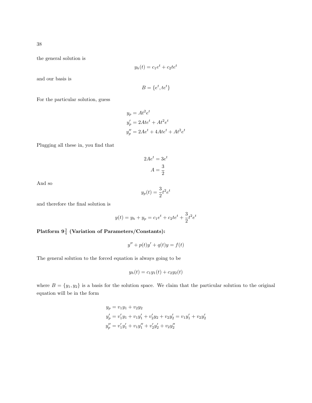the general solution is

$$
y_h(t) = c_1 e^t + c_2 t e^t
$$

and our basis is

$$
B = \{e^t, te^t\}
$$

For the particular solution, guess

$$
y_p = At^2 e^t
$$
  
\n
$$
y'_p = 2Ate^t + At^2 e^t
$$
  
\n
$$
y''_p = 2Ae^t + 4Ate^t + At^2 e^t
$$

Plugging all these in, you find that

$$
2Ae^t = 3e^t
$$

$$
A = \frac{3}{2}
$$

And so

$$
y_p(t)=\frac{3}{2}t^2e^t
$$

and therefore the final solution is

$$
y(t) = y_h + y_p = c_1 e^t + c_2 t e^t + \frac{3}{2} t^2 e^t
$$

 ${\rm Platform} \; 9\frac{3}{4} \; ({\rm Variation \; of \; Parameters/Constraints})$ :

$$
y'' + p(t)y' + q(t)y = f(t)
$$

The general solution to the forced equation is always going to be

$$
y_h(t) = c_1 y_1(t) + c_2 y_2(t)
$$

where  $B = \{y_1, y_2\}$  is a basis for the solution space. We claim that the particular solution to the original equation will be in the form

$$
y_p = v_1y_1 + v_2y_2
$$
  
\n
$$
y'_p = v'_1y_1 + v_1y'_1 + v'_2y_2 + v_2y'_2 = v_1y'_1 + v_2y'_2
$$
  
\n
$$
y''_p = v'_1y'_1 + v_1y''_1 + v'_2y'_2 + v_2y''_2
$$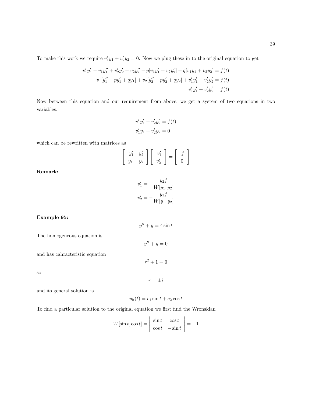To make this work we require  $v'_1y_1 + v'_2y_2 = 0$ . Now we plug these in to the original equation to get

$$
v'_1y'_1 + v_1y''_1 + v'_2y'_2 + v_2y''_2 + p[v_1y'_1 + v_2y'_2] + q[v_1y_1 + v_2y_2] = f(t)
$$
  

$$
v_1[y''_1 + py'_1 + qy_1] + v_2[y''_2 + py'_2 + qy_2] + v'_1y'_1 + v'_2y'_2 = f(t)
$$
  

$$
v'_1y'_1 + v'_2y'_2 = f(t)
$$

Now between this equation and our requirement from above, we get a system of two equations in two variables.

$$
v'_1y'_1 + v'_2y'_2 = f(t)
$$
  

$$
v'_1y_1 + v'_2y_2 = 0
$$

which can be rewritten with matrices as

$$
\left[\begin{array}{cc}y_1' & y_2'\\y_1 & y_2\end{array}\right]\left[\begin{array}{c}v_1'\\v_2'\end{array}\right]=\left[\begin{array}{c}f\\0\end{array}\right]
$$

Remark:

$$
v'_1 = -\frac{y_2 f}{W[y_1, y_2]}
$$

$$
v'_2 = -\frac{y_1 f}{W[y_1, y_2]}
$$

 $y'' + y = 4\sin t$ 

 $y'' + y = 0$ 

 $r^2 + 1 = 0$ 

#### Example 95:

The homogeneous equation is

and has cahracteristic equation

so

 $r = \pm i$ 

and its general solution is

$$
y_h(t) = c_1 \sin t + c_2 \cos t
$$

To find a particular solution to the original equation we first find the Wronskian

$$
W[\sin t, \cos t] = \begin{vmatrix} \sin t & \cos t \\ \cos t & -\sin t \end{vmatrix} = -1
$$

 $\mathcal{L}_{\mathcal{A}}$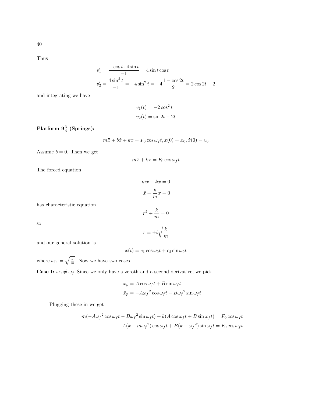Thus

$$
v'_1 = \frac{-\cos t \cdot 4 \sin t}{-1} = 4 \sin t \cos t
$$
  

$$
v'_2 = \frac{4 \sin^2 t}{-1} = -4 \sin^2 t = -4 \frac{1 - \cos 2t}{2} = 2 \cos 2t - 2
$$

and integrating we have

$$
v_1(t) = -2\cos^2 t
$$

$$
v_2(t) = \sin 2t - 2t
$$

# ${\rm Platform} \; 9\frac{3}{4} \; ({\rm Springs})$ :

$$
m\ddot{x} + b\dot{x} + kx = F_0 \cos \omega_f t, x(0) = x_0, \dot{x}(0) = v_0
$$

Assume  $b = 0$ . Then we get

$$
m\ddot{x} + kx = F_0 \cos \omega_f t
$$

The forced equation

$$
m\ddot{x} + kx = 0
$$

$$
\ddot{x} + \frac{k}{m}x = 0
$$

has characteristic equation

$$
r^2 + \frac{k}{m} = 0
$$

so

$$
r=\pm i\sqrt{\frac{k}{m}}
$$

and our general solution is

 $x(t) = c_1 \cos \omega_0 t + c_2 \sin \omega_0 t$ 

where  $\omega_0 := \sqrt{\frac{k}{m}}$ . Now we have two cases.

**Case I:**  $\omega_0 \neq \omega_f$  Since we only have a zeroth and a second derivative, we pick

$$
x_p = A \cos \omega_f t + B \sin \omega_f t
$$
  

$$
\ddot{x}_p = -A \omega_f^2 \cos \omega_f t - B \omega_f^2 \sin \omega_f t
$$

Plugging these in we get

$$
m(-A\omega_f{}^2\cos\omega_f t - B\omega_f{}^2\sin\omega_f t) + k(A\cos\omega_f t + B\sin\omega_f t) = F_0\cos\omega_f t
$$

$$
A(k - m\omega_f{}^2)\cos\omega_f t + B(k - \omega_f{}^2)\sin\omega_f t = F_0\cos\omega_f t
$$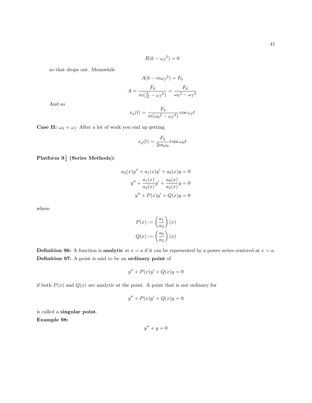$$
B(k - \omega_f{}^2) = 0
$$

so that drops out. Meanwhile

$$
A(k - m\omega_f{}^2) = F_0
$$

$$
A = \frac{F_0}{m(\frac{k}{m} - \omega_f{}^2)} = \frac{F_0}{\omega_0{}^2 - \omega_f{}^2}
$$

And so

$$
x_p(t) = \frac{F_0}{m(\omega_0^2 - \omega_f^2)} \cos \omega_f t
$$

**Case II:**  $\omega_0 = \omega_f$  After a lot of work you end up getting

$$
x_p(t) = \frac{F_0}{2m\omega_0}t\sin\omega_0 t
$$

 ${\rm {\bf Platform}}\,\, {\bf 9}^{\frac{3}{4}} \,\, ({\rm Series\,\, Methods})$ :

$$
a_2(x)y'' + a_1(x)y' + a_0(x)y = 0
$$
  

$$
y'' + \frac{a_1(x)}{a_2(x)}y' + \frac{a_0(x)}{a_2(x)}y = 0
$$
  

$$
y'' + P(x)y' + Q(x)y = 0
$$

where

$$
P(x) := \left(\frac{a_1}{a_2}\right)(x)
$$

$$
Q(x) := \left(\frac{a_0}{a_2}\right)(x)
$$

**Definition 96:** A function is **analytic** at  $x = a$  if it can be represented by a power series centered at  $x = a$ . Definition 97: A point is said to be an ordinary point of

$$
y'' + P(x)y' + Q(x)y = 0
$$

if both  $P(x)$  and  $Q(x)$  are analytic at the point. A point that is not ordinary for

$$
y'' + P(x)y' + Q(x)y = 0
$$

is called a singular point. Example 98:

$$
y'' + y = 0
$$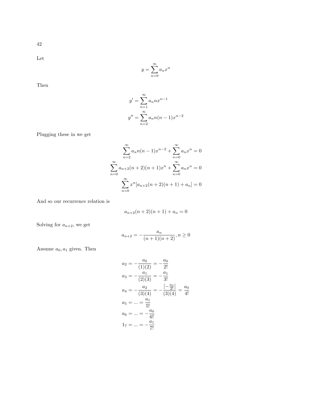42

Let

$$
y = \sum_{n=0}^{\infty} a_n x^n
$$

Then

$$
y' = \sum_{n=1}^{\infty} a_n n x^{n-1}
$$

$$
y'' = \sum_{n=2}^{\infty} a_n n (n-1) x^{n-2}
$$

Plugging these in we get

$$
\sum_{n=2}^{\infty} a_n n(n-1)x^{n-2} + \sum_{n=0}^{\infty} a_n x^n = 0
$$

$$
\sum_{n=0}^{\infty} a_{n+2}(n+2)(n+1)x^n + \sum_{n=0}^{\infty} a_n x^n = 0
$$

$$
\sum_{n=0}^{\infty} x^n [a_{n+2}(n+2)(n+1) + a_n] = 0
$$

And so our recurrence relation is

$$
a_{n+2}(n+2)(n+1) + a_n = 0
$$

Solving for  $a_{n+2}$ , we get

$$
a_{n+2} = -\frac{a_n}{(n+1)(n+2)}, n \ge 0
$$

Assume  $a_0, a_1$  given. Then

$$
a_2 = -\frac{a_0}{(1)(2)} = -\frac{a_0}{2!}
$$
  
\n
$$
a_3 = -\frac{a_1}{(2)(3)} = -\frac{a_1}{3!}
$$
  
\n
$$
a_4 = -\frac{a_2}{(3)(4)} = -\frac{[-\frac{a_0}{2!}]}{(3)(4)} = \frac{a_0}{4!}
$$
  
\n
$$
a_5 = \dots = \frac{a_1}{5!}
$$
  
\n
$$
a_6 = \dots = -\frac{a_0}{6!}
$$
  
\n
$$
1_7 = \dots = -\frac{a_1}{7!}
$$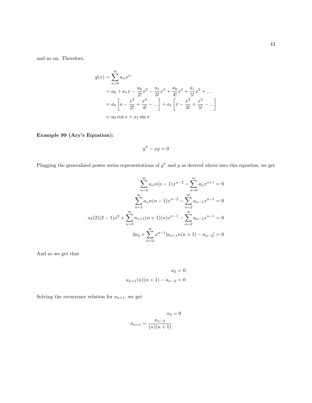and so on. Therefore,

$$
y(x) = \sum_{n=0}^{\infty} a_n x^n
$$
  
=  $a_0 + a_1 x - \frac{a_0}{2!} x^2 - \frac{a_1}{3!} x^3 + \frac{a_0}{4!} x^4 + \frac{a_1}{5!} x^5 + \dots$   
=  $a_0 \left[ a - \frac{x^2}{2!} + \frac{x^4}{4!} - \dots \right] + a_1 \left[ x - \frac{x^3}{3!} + \frac{x^5}{5!} - \dots \right]$   
=  $a_0 \cos x + a_1 \sin x$ 

# Example 99 (Ary's Equation):

$$
y'' - xy = 0
$$

Plugging the generalized power series representations of  $y''$  and y as derived above into this equation, we get

$$
\sum_{n=2}^{\infty} a_n n(n-1)x^{n-2} - \sum_{n=0}^{\infty} a_n x^{n+1} = 0
$$

$$
\sum_{n=2}^{\infty} a_n n(n-1)x^{n-2} - \sum_{n=2}^{\infty} a_{n-1} x^{n-1} = 0
$$

$$
a_2(2)(2-1)x^0 + \sum_{n=2}^{\infty} a_{n+1}(n+1)(n)x^{n-1} - \sum_{n=2}^{\infty} a_{n-1} x^{n-1} = 0
$$

$$
2a_2 + \sum_{n=2}^{\infty} x^{n-1} [a_{n+1} n(n+1) - a_{n-2}] = 0
$$

And so we get that

$$
a_2 = 0
$$
  

$$
a_{n+1}(n)(n+1) - a_{n-2} = 0
$$

Solving the recurrence relation for  $a_{n+1}$ , we get

$$
a_2 = 0
$$

$$
a_{n+1} = \frac{a_{n-2}}{(n)(n+1)}
$$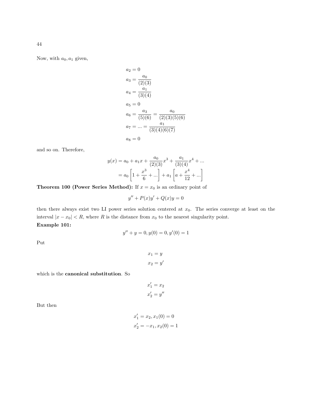Now, with  $a_0, a_1$  given,

$$
a_2 = 0
$$
  
\n
$$
a_3 = \frac{a_0}{(2)(3)}
$$
  
\n
$$
a_4 = \frac{a_1}{(3)(4)}
$$
  
\n
$$
a_5 = 0
$$
  
\n
$$
a_6 = \frac{a_3}{(5)(6)} = \frac{a_0}{(2)(3)(5)(6)}
$$
  
\n
$$
a_7 = \dots = \frac{a_1}{(3)(4)(6)(7)}
$$
  
\n
$$
a_8 = 0
$$

and so on. Therefore,

$$
y(x) = a_0 + a_1 x + \frac{a_0}{(2)(3)} x^3 + \frac{a_1}{(3)(4)} x^4 + \dots
$$
  
=  $a_0 \left[ 1 + \frac{x^3}{6} + \dots \right] + a_1 \left[ a + \frac{x^4}{12} + \dots \right]$ 

**Theorem 100 (Power Series Method):** If  $x = x_0$  is an ordinary point of

$$
y'' + P(x)y' + Q(x)y = 0
$$

then there always exist two LI power series solution centered at  $x_0$ . The series converge at least on the interval  $|x - x_0| < R$ , where R is the distance from  $x_0$  to the nearest singularity point. Example 101:

$$
y'' + y = 0, y(0) = 0, y'(0) = 1
$$

Put

$$
x_1 = y
$$

$$
x_2 = y'
$$

which is the canonical substitution. So

$$
x'_1 = x_2
$$
  

$$
x'_2 = y''
$$

But then

$$
x'_1 = x_2, x_1(0) = 0
$$
  

$$
x'_2 = -x_1, x_2(0) = 1
$$

44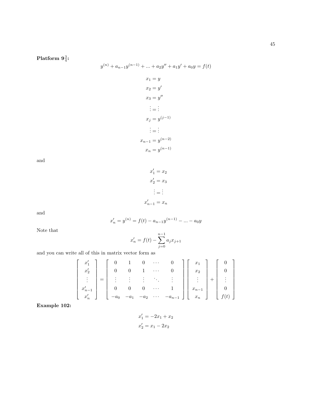45

Platform  $9\frac{3}{4}$ :

$$
y^{(n)} + a_{n-1}y^{(n-1)} + \dots + a_2y'' + a_1y' + a_0y = f(t)
$$

$$
x_1 = y
$$

$$
x_2 = y'
$$

$$
x_3 = y''
$$
  
\n
$$
\vdots = \vdots
$$
  
\n
$$
x_j = y^{(j-1)}
$$
  
\n
$$
\vdots = \vdots
$$
  
\n
$$
x_{n-1} = y^{(n-2)}
$$
  
\n
$$
x_n = y^{(n-1)}
$$

and

 $x'_1 = x_2$  $x'_2 = x_3$  $\vdots = \vdots$  $x'_{n-1} = x_n$ 

and

$$
x'_n = y^{(n)} = f(t) - a_{n-1}y^{(n-1)} - \dots - a_0y
$$

Note that

$$
x'_n = f(t) - \sum_{j=0}^{n-1} a_j x_{j+1}
$$

and you can write all of this in matrix vector form as

$$
\begin{bmatrix} x_1' \\ x_2' \\ \vdots \\ x_{n-1}' \\ x_n' \end{bmatrix} = \begin{bmatrix} 0 & 1 & 0 & \cdots & 0 \\ 0 & 0 & 1 & \cdots & 0 \\ \vdots & \vdots & \vdots & \ddots & \vdots \\ 0 & 0 & 0 & \cdots & 1 \\ -a_0 & -a_1 & -a_2 & \cdots & -a_{n-1} \end{bmatrix} \begin{bmatrix} x_1 \\ x_2 \\ \vdots \\ x_{n-1} \\ x_n \end{bmatrix} + \begin{bmatrix} 0 \\ 0 \\ \vdots \\ 0 \\ f(t) \end{bmatrix}
$$

Example 102:

$$
x'_1 = -2x_1 + x_2
$$
  

$$
x'_2 = x_1 - 2x_2
$$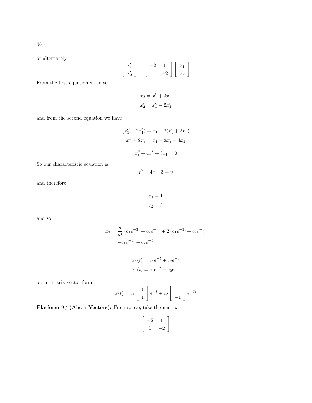or alternately

$$
\left[\begin{array}{c} x_1' \\ x_2' \end{array}\right] = \left[\begin{array}{cc} -2 & 1 \\ 1 & -2 \end{array}\right] \left[\begin{array}{c} x_1 \\ x_2 \end{array}\right]
$$

From the first equation we have

$$
x_2 = x_1' + 2x_1
$$
  

$$
x_2' = x_1'' + 2x_1'
$$

and from the second equation we have

$$
(x''_1 + 2x'_1) = x_1 - 2(x'_1 + 2x_1)
$$
  

$$
x''_1 + 2x'_1 = x_1 - 2x'_1 - 4x_1
$$
  

$$
x''_1 + 4x'_1 + 3x_1 = 0
$$

So our characteristic equation is

 $r^2 + 4r + 3 = 0$ 

and therefore

$$
r_1 = 1
$$

$$
r_2 = 3
$$

and so

$$
x_2 = \frac{d}{dt} (c_1 e^{-3t} + c_2 e^{-t}) + 2 (c_1 e^{-3t} + c_2 e^{-t})
$$
  
=  $-c_1 e^{-3t} + c_2 e^{-t}$ 

$$
x_1(t) = c_1e^{-t} + c_2e^{-3}
$$
  

$$
x_1(t) = c_1e^{-t} - c_2e^{-3}
$$

or, in matrix vector form,

$$
\vec{x}(t) = c_1 \begin{bmatrix} 1 \\ 1 \end{bmatrix} e^{-t} + c_2 \begin{bmatrix} 1 \\ -1 \end{bmatrix} e^{-3t}
$$

**Platform**  $9\frac{3}{4}$  **(Aigen Vectors):** From above, take the matrix

$$
\left[\begin{array}{rr} -2 & 1 \\ 1 & -2 \end{array}\right]
$$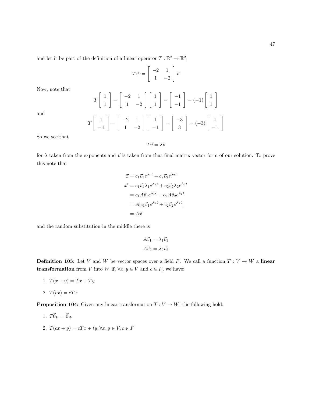$$
T\vec{v} := \left[\begin{array}{cc} -2 & 1\\ 1 & -2 \end{array}\right] \vec{v}
$$

Now, note that

and

$$
T\begin{bmatrix} 1 \\ 1 \end{bmatrix} = \begin{bmatrix} -2 & 1 \\ 1 & -2 \end{bmatrix} \begin{bmatrix} 1 \\ 1 \end{bmatrix} = \begin{bmatrix} -1 \\ -1 \end{bmatrix} = (-1) \begin{bmatrix} 1 \\ 1 \end{bmatrix}
$$

$$
T\begin{bmatrix} 1 \\ -1 \end{bmatrix} = \begin{bmatrix} -2 & 1 \\ 1 & -2 \end{bmatrix} \begin{bmatrix} 1 \\ -1 \end{bmatrix} = \begin{bmatrix} -3 \\ 3 \end{bmatrix} = (-3) \begin{bmatrix} 1 \\ -1 \end{bmatrix}
$$

"

So we see that

 $T\vec{v} = \lambda \vec{v}$ 

for  $\lambda$  taken from the exponents and  $\vec{v}$  is taken from that final matrix vector form of our solution. To prove this note that

$$
\vec{x} = c_1 \vec{v}_1 e^{\lambda_1 t} + c_2 \vec{v}_2 e^{\lambda_2 t}
$$

$$
\vec{x}' = c_1 \vec{v}_1 \lambda_1 e^{\lambda_1 t} + c_2 \vec{v}_2 \lambda_2 e^{\lambda_2 t}
$$

$$
= c_1 A \vec{v}_1 e^{\lambda_1 t} + c_2 A \vec{v}_2 e^{\lambda_2 t}
$$

$$
= A[c_1 \vec{v}_1 e^{\lambda_1 t} + c_2 \vec{v}_2 e^{\lambda_2 t}]
$$

$$
= A \vec{x}
$$

and the random substitution in the middle there is

$$
A\vec{v}_1 = \lambda_1 \vec{v}_1
$$

$$
A\vec{v}_2 = \lambda_2 \vec{v}_2
$$

**Definition 103:** Let V and W be vector spaces over a field F. We call a function  $T: V \to W$  a linear **transformation** from V into W if,  $\forall x, y \in V$  and  $c \in F$ , we have:

- 1.  $T(x + y) = Tx + Ty$
- 2.  $T(cx) = cTx$

**Proposition 104:** Given any linear transformation  $T: V \to W$ , the following hold:

1.  $T\vec{0}_V = \vec{0}_W$ 2.  $T(cx + y) = cTx + ty, \forall x, y \in V, c \in F$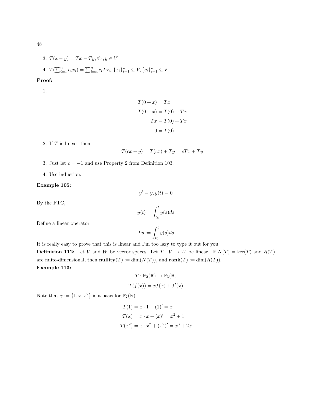3. 
$$
T(x - y) = Tx - Ty, \forall x, y \in V
$$
  
4.  $T(\sum_{i=1}^{n} c_i x_i) = \sum_{i=n}^{n} c_i Tx_i, \{x_i\}_{i=1}^{n} \subseteq V, \{c_i\}_{i=1}^{n} \subseteq F$ 

Proof:

1.

$$
T(0+x) = Tx
$$
  
\n
$$
T(0+x) = T(0) + Tx
$$
  
\n
$$
Tx = T(0) + Tx
$$
  
\n
$$
0 = T(0)
$$

2. If T is linear, then

$$
T(cx + y) = T(cx) + Ty = cTx + Ty
$$

- 3. Just let  $c = -1$  and use Property 2 from Definition 103.
- 4. Use induction.

### Example 105:

By the FTC,

$$
y(t) = \int_{t_0}^t y(s)ds
$$

 $y' = y, y(t) = 0$ 

Define a linear operator

$$
Ty := \int_{t_0}^t y(s)ds
$$

It is really easy to prove that this is linear and I'm too lazy to type it out for you. **Definition 112:** Let V and W be vector spaces. Let  $T: V \to W$  be linear. If  $N(T) = \text{ker}(T)$  and  $R(T)$ are finite-dimensional, then **nullity** $(T) := \dim(N(T))$ , and **rank** $(T) := \dim(R(T))$ . Example 113:

$$
T: \mathbb{P}_2(\mathbb{R}) \to \mathbb{P}_3(\mathbb{R})
$$

$$
T(f(x)) = xf(x) + f'(x)
$$

Note that  $\gamma:=\{1,x,x^2\}$  is a basis for  $\mathbb{P}_2(\mathbb{R})$ .

$$
T(1) = x \cdot 1 + (1)' = x
$$
  
\n
$$
T(x) = x \cdot x + (x)' = x^{2} + 1
$$
  
\n
$$
T(x^{2}) = x \cdot x^{2} + (x^{2})' = x^{3} + 2x
$$

48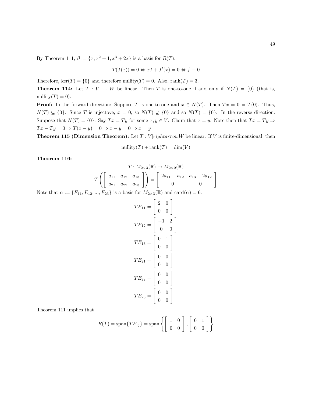By Theorem 111,  $\beta := \{x, x^2 + 1, x^3 + 2x\}$  is a basis for  $R(T)$ .

$$
T(f(x)) = 0 \Leftrightarrow xf + f'(x) = 0 \Leftrightarrow f \equiv 0
$$

Therefore,  $\text{ker}(T) = \{0\}$  and therefore nullity $(T) = 0$ . Also,  $\text{rank}(T) = 3$ .

**Theorem 114:** Let  $T: V \to W$  be linear. Then T is one-to-one if and only if  $N(T) = \{0\}$  (that is, nullity $(T) = 0$ .

**Proof:** In the forward direction: Suppose T is one-to-one and  $x \in N(T)$ . Then  $Tx = 0 = T(0)$ . Thus,  $N(T) \subseteq \{0\}$ . Since T is injectove,  $x = 0$ ; so  $N(T) \supseteq \{0\}$  and so  $N(T) = \{0\}$ . In the reverse direction: Suppose that  $N(T) = \{0\}$ . Say  $Tx = Ty$  for some  $x, y \in V$ . Claim that  $x = y$ . Note then that  $Tx = Ty \Rightarrow$  $Tx - Ty = 0 \Rightarrow T(x - y) = 0 \Rightarrow x - y = 0 \Rightarrow x = y$ 

**Theorem 115 (Dimension Theorem):** Let  $T: V | right arrowW$  be linear. If V is finite-dimensional, then

$$
\text{nullity}(T) + \text{rank}(T) = \dim(V)
$$

Theorem 116:

$$
T: M_{2\times3}(\mathbb{R}) \to M_{2\times2}(\mathbb{R})
$$

$$
T\left(\begin{bmatrix} a_{11} & a_{12} & a_{13} \\ a_{21} & a_{22} & a_{23} \end{bmatrix}\right) = \begin{bmatrix} 2a_{11} - a_{12} & a_{13} + 2a_{12} \\ 0 & 0 \end{bmatrix}
$$

Note that  $\alpha := \{E_{11}, E_{12}, ..., E_{23}\}$  is a basis for  $M_{2\times 3}(\mathbb{R})$  and  $\text{card}(\alpha) = 6$ .

$$
TE_{11} = \begin{bmatrix} 2 & 0 \\ 0 & 0 \end{bmatrix}
$$

$$
TE_{12} = \begin{bmatrix} -1 & 2 \\ 0 & 0 \end{bmatrix}
$$

$$
TE_{13} = \begin{bmatrix} 0 & 1 \\ 0 & 0 \end{bmatrix}
$$

$$
TE_{21} = \begin{bmatrix} 0 & 0 \\ 0 & 0 \end{bmatrix}
$$

$$
TE_{22} = \begin{bmatrix} 0 & 0 \\ 0 & 0 \end{bmatrix}
$$

$$
TE_{23} = \begin{bmatrix} 0 & 0 \\ 0 & 0 \end{bmatrix}
$$

Theorem 111 implies that

$$
R(T) = \text{span}\{TE_{ij}\} = \text{span}\left\{ \begin{bmatrix} 1 & 0 \\ 0 & 0 \end{bmatrix}, \begin{bmatrix} 0 & 1 \\ 0 & 0 \end{bmatrix} \right\}
$$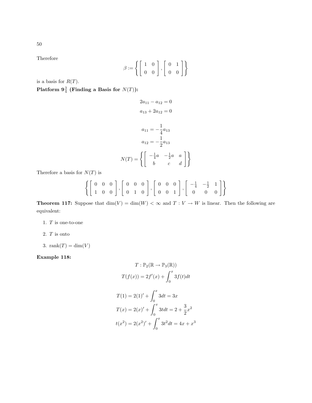Therefore

$$
\beta := \left\{ \begin{bmatrix} 1 & 0 \\ 0 & 0 \end{bmatrix}, \begin{bmatrix} 0 & 1 \\ 0 & 0 \end{bmatrix} \right\}
$$

is a basis for  $R(T)$ .

Platform  $\mathbf{9}_{4}^{3}$  (Finding a Basis for  $N(T)$ ):

$$
2a_{11} - a_{12} = 0
$$

$$
a_{13} + 2a_{12} = 0
$$

$$
a_{11} = -\frac{1}{4}a_{13}
$$

$$
a_{12} = -\frac{1}{2}a_{13}
$$

$$
N(T) = \left\{ \begin{bmatrix} -\frac{1}{4}a & -\frac{1}{2}a & a\\ b & c & d \end{bmatrix} \right\}
$$

Therefore a basis for  $N(T)$  is

$$
\left\{ \left[ \begin{array}{rrr} 0 & 0 & 0 \\ 1 & 0 & 0 \end{array} \right], \left[ \begin{array}{rrr} 0 & 0 & 0 \\ 0 & 1 & 0 \end{array} \right], \left[ \begin{array}{rrr} 0 & 0 & 0 \\ 0 & 0 & 1 \end{array} \right], \left[ \begin{array}{rrr} -\frac{1}{4} & -\frac{1}{2} & 1 \\ 0 & 0 & 0 \end{array} \right] \right\}
$$

**Theorem 117:** Suppose that  $\dim(V) = \dim(W) < \infty$  and  $T: V \to W$  is linear. Then the following are equivalent:

- 1. T is one-to-one
- 2.  $\cal T$  is onto
- 3. rank $(T) = \dim(V)$

Example 118:

$$
T: \mathbb{P}_2(\mathbb{R} \to \mathbb{P}_3(\mathbb{R}))
$$

$$
T(f(x)) = 2f'(x) + \int_0^x 3f(t)dt
$$

$$
T(1) = 2(1)' + \int_0^x 3dt = 3x
$$

$$
T(x) = 2(x)' + \int_0^x 3t dt = 2 + \frac{3}{2}x^2
$$

$$
t(x^2) = 2(x^2)' + \int_0^x 3t^2 dt = 4x + x^3
$$

50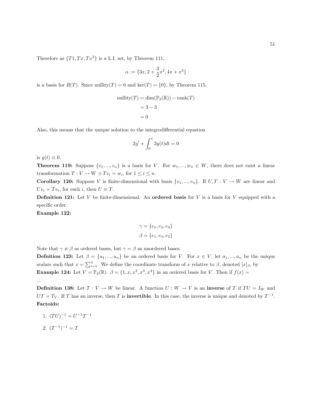Therefore as  $\{T1, Tx, Tx^2\}$  is a L.I. set, by Theorem 111,

$$
\alpha:=\{3x,2+\frac{3}{2}x^2,4x+x^3\}
$$

is a basis for  $R(T)$ . Since nullity(T) = 0 and ker(T) = {0}, by Theorem 115,

$$
\text{nullity}(T) = \dim(\mathbb{P}_2(\mathbb{R})) - \text{rank}(T)
$$

$$
= 3 - 3
$$

$$
= 0
$$

Also, this means that the unique solution to the integrodifferential equation

$$
2y' + \int_0^x 3y(t)dt = 0
$$

is  $y(t) \equiv 0$ .

**Theorem 119:** Suppose  $\{v_1, ..., v_n\}$  is a basis for V. For  $w_1, ..., w_n \in W$ , there does not exist a linear transformation  $T: V \to W \ni Tv_i = w_i$ , for  $1 \leq i \leq n$ .

**Corollary 120:** Suppose V is finite-dimensional with basis  $\{v_1, ..., v_n\}$ . If  $U, T : V \to W$  are linear and  $Uv_i = Tv_i$ , for each i, then  $U \equiv T$ .

**Definition 121:** Let V be finite-dimensional. An **ordered basis** for V is a basis for V equipped with a specific order.

Example 122:

$$
\gamma = \{e_1, e_2, e_3\}
$$

$$
\beta = \{e_1, e_3, e_2\}
$$

Note that  $\gamma \neq \beta$  as ordered bases, but  $\gamma = \beta$  as unordered bases.

**Defnition 123:** Let  $\beta = \{u_1, ..., u_n\}$  be an ordered basis for V. For  $x \in V$ , let  $a_1, ..., a_n$  be the unique scalars such that  $x = \sum_{i=1}^{n}$ . We define the coordinate transform of x relative to  $\beta$ , denoted  $[x]_{\beta}$ , by **Example 124:** Let  $V = \mathbb{P}_4(\mathbb{R})$ .  $\beta = \{1, x, x^2, x^3, x^4\}$  in an ordered basis for V. Then if  $f(x) =$ ...

**Definition 138:** Let  $T: V \to W$  be linear. A function  $U: W \to V$  is an inverse of T if  $TU = I_W$  and  $UT = T_V$ . If T has an inverse, then T is **invertible**. In this case, the inverse is unique and denoted by  $T^{-1}$ . Factoids:

- 1.  $(TU)^{-1} = U^{-1}T^{-1}$
- 2.  $(T^{-1})^{-1} = T$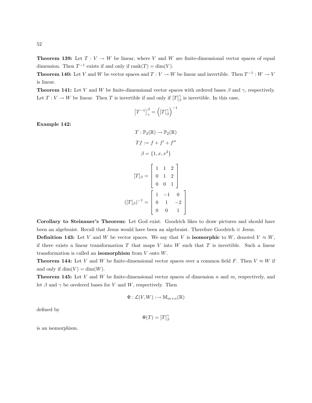52

**Theorem 139:** Let  $T: V \to W$  be linear, where V and W are finite-dimensional vector spaces of equal dimension. Then  $T^{-1}$  exists if and only if  $\text{rank}(T) = \dim(V)$ .

**Theorem 140:** Let V and W be vector spaces and  $T: V \to W$  be linear and invertible. Then  $T^{-1}: W \to V$ is linear.

**Theorem 141:** Let V and W be finite-dimensional vector spaces with ordered bases  $\beta$  and  $\gamma$ , respectively. Let  $T: V \to W$  be linear. Then T is invertible if and only if  $[T]_{\beta}^{\gamma}$  is invertible. In this case,

$$
\left[T^{-1}\right]_{\gamma}^{\beta}=\left(\left[T\right]_{\beta}^{\gamma}\right)^{-1}
$$

Example 142:

$$
T: \mathbb{P}_2(\mathbb{R}) \to \mathbb{P}_2(\mathbb{R})
$$

$$
Tf := f + f' + f''
$$

$$
\beta = \{1, x, x^2\}
$$

$$
[T]_{\beta} = \begin{bmatrix} 1 & 1 & 2 \\ 0 & 1 & 2 \\ 0 & 0 & 1 \end{bmatrix}
$$

$$
([T]_{\beta})^{-1} = \begin{bmatrix} 1 & -1 & 0 \\ 0 & 1 & -2 \\ 0 & 0 & 1 \end{bmatrix}
$$

Corollary to Steinauer's Theorem: Let God exist. Goodrich likes to draw pictures and should have been an algebraist. Recall that Jesus would have been an algebraist. Therefore Goodrich ≡ Jesus.

**Definition 143:** Let V and W be vector spaces. We say that V is **isomorphic** to W, denoted  $V \approx W$ , if there exists a linear transformation T that maps V into W such that T is invertible. Such a linear transformation is called an **isomorphism** from  $V$  onto  $W$ .

**Theorem 144:** Let V and W be finite-dimensional vector spaces over a common field F. Then  $V \approx W$  if and only if  $\dim(V) = \dim(W)$ .

**Theorem 145:** Let V and W be finite-dimensional vector spaces of dimension  $n$  and  $m$ , respectively, and let  $\beta$  and  $\gamma$  be oredered bases for V and W, respectively. Then

$$
\Phi: \mathcal{L}(V, W) : \to \mathbb{M}_{m \times n}(\mathbb{R})
$$

defined by

$$
\Phi(T)=[T]^\gamma_\beta
$$

is an isomorphism.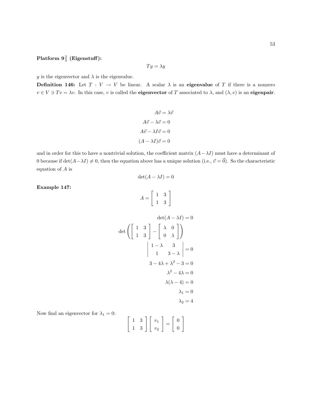# ${\rm Platform} \; 9\frac{3}{4} \; ({\rm Eigenstuff}) \colon$

$$
Ty = \lambda y
$$

y is the eigenvector and  $\lambda$  is the eigenvalue.

**Definition 146:** Let  $T: V \to V$  be linear. A scalar  $\lambda$  is an **eigenvalue** of T if there is a nonzero  $v \in V \ni Tv = \lambda v$ . In this case, v is called the **eigenvector** of T associated to  $\lambda$ , and  $(\lambda, v)$  is an **eigenpair**.

$$
A\vec{v} = \lambda \vec{v}
$$

$$
A\vec{v} - \lambda \vec{v} = 0
$$

$$
A\vec{v} - \lambda I\vec{v} = 0
$$

$$
(A - \lambda I)\vec{v} = 0
$$

and in order for this to have a nontrivial solution, the coefficient matrix  $(A - \lambda I)$  must have a determinant of 0 because if  $\det(A-\lambda I) \neq 0$ , then the equation above has a unique solution (i.e.,  $\vec{v} = \vec{0}$ ). So the characteristic equation of A is

$$
\det(A - \lambda I) = 0
$$

Example 147:

$$
A = \left[ \begin{array}{cc} 1 & 3 \\ 1 & 3 \end{array} \right]
$$

$$
\det(A - \lambda I) = 0
$$
  

$$
\det\left(\begin{bmatrix} 1 & 3 \\ 1 & 3 \end{bmatrix} - \begin{bmatrix} \lambda & 0 \\ 0 & \lambda \end{bmatrix}\right)
$$
  

$$
\begin{vmatrix} 1 - \lambda & 3 \\ 1 & 3 - \lambda \end{vmatrix} = 0
$$
  

$$
3 - 4\lambda + \lambda^2 - 3 = 0
$$
  

$$
\lambda^2 - 4\lambda = 0
$$
  

$$
\lambda(\lambda - 4) = 0
$$
  

$$
\lambda_1 = 0
$$
  

$$
\lambda_2 = 4
$$

Now find an eigenvector for  $\lambda_1 = 0$ :

$$
\left[\begin{array}{cc} 1 & 3 \\ 1 & 3 \end{array}\right] \left[\begin{array}{c} v_1 \\ v_2 \end{array}\right] = \left[\begin{array}{c} 0 \\ 0 \end{array}\right]
$$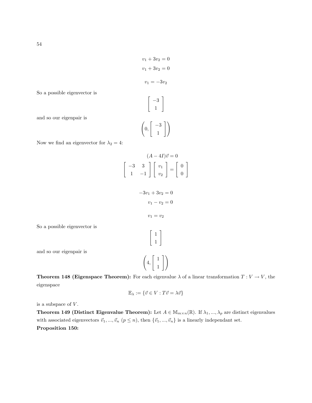$$
v_1 + 3v_2 = 0
$$

$$
v_1 + 3v_2 = 0
$$

$$
v_1 = -3v_2
$$

$$
\begin{bmatrix} -3 \\ 1 \end{bmatrix}
$$

So a possible eigenvector is

and so our eigenpair is

$$
\left(0,\left[\begin{array}{c}-3\\1\end{array}\right]\right)
$$

 $\lceil$ 

Now we find an eigenvector for  $\lambda_2 = 4$ :

$$
(A - 4I)\vec{v} = 0
$$
  
\n
$$
-3 \quad 3 \quad 1 \quad v_1 \quad v_2 \quad = \quad 0
$$
  
\n
$$
-3v_1 + 3v_2 = 0
$$
  
\n
$$
v_1 - v_2 = 0
$$
  
\n
$$
v_1 = v_2
$$
  
\n
$$
\begin{bmatrix} 1 \\ 1 \end{bmatrix}
$$
  
\n
$$
\begin{pmatrix} 1 \\ 4 \end{pmatrix}
$$

1

So a possible eigenvector is

and so our eigenpair is

**Theorem 148 (Eigenspace Theorem):** For each eigenvalue  $\lambda$  of a linear transformation  $T: V \to V$ , the eigenspace

1

$$
\mathbb{E}_{\lambda} := \{ \vec{v} \in V : T\vec{v} = \lambda \vec{v} \}
$$

is a subspace of  $V$ .

**Theorem 149 (Distinct Eigenvalue Theorem):** Let  $A \in M_{m \times n}(\mathbb{R})$ . If  $\lambda_1, ..., \lambda_p$  are distinct eigenvalues with associated eigenvectors  $\vec{v}_1, ..., \vec{v}_n$  ( $p \leq n$ ), then  $\{\vec{v}_1, ..., \vec{v}_n\}$  is a linearly independant set. Proposition 150: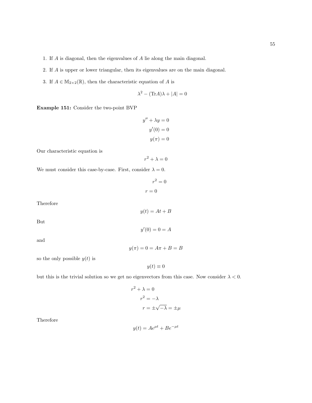- 1. If A is diagonal, then the eigenvalues of A lie along the main diagonal.
- 2. If A is upper or lower triangular, then its eigenvalues are on the main diagonal.
- 3. If  $A\in\mathbb{M}_{2\times2}(\mathbb{R}),$  then the characteristic equation of  $A$  is

$$
\lambda^2 - (\text{Tr}A)\lambda + |A| = 0
$$

Example 151: Consider the two-point BVP

$$
y'' + \lambda y = 0
$$

$$
y'(0) = 0
$$

$$
y(\pi) = 0
$$

Our characteristic equation is

$$
r^2 + \lambda = 0
$$

We must consider this case-by-case. First, consider  $\lambda = 0$ .

$$
r^2 = 0
$$

$$
r = 0
$$

Therefore

$$
y(t) = At + B
$$

 $y'(0) = 0 = A$ 

But

and

 $y(\pi) = 0 = A\pi + B = B$ 

so the only possible  $y(t)$  is

 $y(t) \equiv 0$ 

but this is the trivial solution so we get no eigenvectors from this case. Now consider  $\lambda < 0$ .

$$
r^{2} + \lambda = 0
$$

$$
r^{2} = -\lambda
$$

$$
r = \pm \sqrt{-\lambda} = \pm \mu
$$

Therefore

$$
y(t) = Ae^{\mu t} + Be^{-\mu t}
$$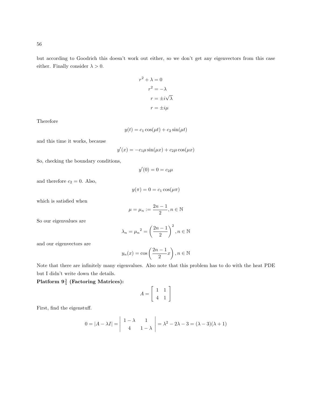but according to Goodrich this doesn't work out either, so we don't get any eigenvectors from this case either. Finally consider  $\lambda > 0$ .

$$
r^{2} + \lambda = 0
$$

$$
r^{2} = -\lambda
$$

$$
r = \pm i\sqrt{\lambda}
$$

$$
r = \pm i\mu
$$

Therefore

$$
y(t) = c_1 \cos(\mu t) + c_2 \sin(\mu t)
$$

and this time it works, because

$$
y'(x) = -c_1\mu\sin(\mu x) + c_2\mu\cos(\mu x)
$$

So, checking the boundary conditions,

$$
y'(0) = 0 = c_2 \mu
$$

and therefore  $c_2 = 0$ . Also,

$$
y(\pi) = 0 = c_1 \cos(\mu \pi)
$$

which is satisfied when

$$
\mu=\mu_n:=\frac{2n-1}{2}, n\in\mathbb{N}
$$

So our eigenvalues are

$$
\lambda_n = \mu_n^2 = \left(\frac{2n-1}{2}\right)^2, n \in \mathbb{N}
$$

and our eigenvectors are

$$
y_n(x) = \cos\left(\frac{2n-1}{2}x\right), n \in \mathbb{N}
$$

Note that there are infinitely many eigenvalues. Also note that this problem has to do with the heat PDE but I didn't write down the details.

 ${\rm Platform} \; 9\frac{3}{4} \; ({\rm Factoring \; Matrices)}$ :

$$
A = \left[ \begin{array}{rr} 1 & 1 \\ 4 & 1 \end{array} \right]
$$

First, find the eigenstuff.

$$
0 = |A - \lambda I| = \begin{vmatrix} 1 - \lambda & 1 \\ 4 & 1 - \lambda \end{vmatrix} = \lambda^2 - 2\lambda - 3 = (\lambda - 3)(\lambda + 1)
$$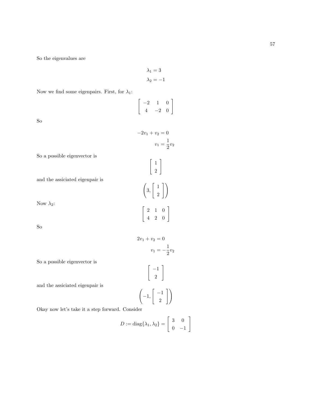So the eigenvalues are

 $\lambda_1=3$  $\lambda_2 = -1$ 

Now we find some eigenpairs. First, for  $\lambda_1$ :

$$
\left[\begin{array}{ccc} -2 & 1 & 0 \\ 4 & -2 & 0 \end{array}\right]
$$

 $-2v_1 + v_2 = 0$ 

 $\lceil 1 \rceil$  $\frac{1}{2}$ 

> $\lceil 1 \rceil$  $\frac{1}{2}$

> > 1

 $\begin{bmatrix} 2 & 1 & 0 \end{bmatrix}$ 4 2 0

 $2v_1 + v_2 = 0$ 

 $\lceil -1 \rceil$ 2

 $v_1 = -\frac{1}{2}v_2$ 

1

 $\sqrt{ }$ 3 ,  $v_1 = \frac{1}{2}v_2$ 

So

So a possible eigenvector is

and the assiciated eigenpair is

Now  $\lambda_2$ :

So

So a possible eigenvector is

and the assiciated eigenpair is

$$
\left(-1,\left\lceil\begin{array}{c}-1\\2\end{array}\right\rceil\right)
$$

Okay now let's take it a step forward. Consider

$$
D:=\text{diag}\{\lambda_1,\lambda_2\}=\left[\begin{array}{cc}3&0\\0&-1\end{array}\right]
$$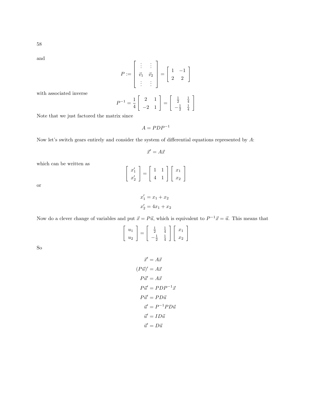and

$$
P := \begin{bmatrix} \vdots & \vdots \\ \vec{v}_1 & \vec{v}_2 \\ \vdots & \vdots \end{bmatrix} = \begin{bmatrix} 1 & -1 \\ 2 & 2 \end{bmatrix}
$$
  
werse  

$$
P^{-1} = \frac{1}{4} \begin{bmatrix} 2 & 1 \\ -2 & 1 \end{bmatrix} = \begin{bmatrix} \frac{1}{2} & \frac{1}{4} \\ -\frac{1}{2} & \frac{1}{4} \end{bmatrix}
$$
  
factored the matrix since

with associated in

Note that we just

 $A = PDP^{-1}$ 

Now let's switch gears entirely and consider the system of differential equations represented by A:

$$
\vec{x}' = A\vec{x}
$$

which can be written as

| $\left[\begin{array}{c} x_1' \\ x_2' \end{array}\right] = \left[\begin{array}{cc} 1 & 1 \\ 4 & 1 \end{array}\right] \left[\begin{array}{c} x_1 \\ x_2 \end{array}\right]$ |  |  |
|---------------------------------------------------------------------------------------------------------------------------------------------------------------------------|--|--|
|                                                                                                                                                                           |  |  |

 $x'_1 = x_1 + x_2$  $x'_2 = 4x_1 + x_2$ 

or

Now do a clever change of variables and put  $\vec{x} = P\vec{u}$ , which is equivalent to  $P^{-1}\vec{x} = \vec{u}$ . This means that

$$
\left[\begin{array}{c} u_1 \\ u_2 \end{array}\right] = \left[\begin{array}{cc} \frac{1}{2} & \frac{1}{4} \\ -\frac{1}{2} & \frac{1}{4} \end{array}\right] \left[\begin{array}{c} x_1 \\ x_2 \end{array}\right]
$$

So

$$
\vec{x}' = A\vec{x}
$$

$$
(P\vec{u})' = A\vec{x}
$$

$$
P\vec{u}' = A\vec{x}
$$

$$
P\vec{u}' = PDP^{-1}\vec{x}
$$

$$
P\vec{u}' = PD\vec{u}
$$

$$
\vec{u}' = P^{-1}PD\vec{u}
$$

$$
\vec{u}' = ID\vec{u}
$$

$$
\vec{u}' = D\vec{u}
$$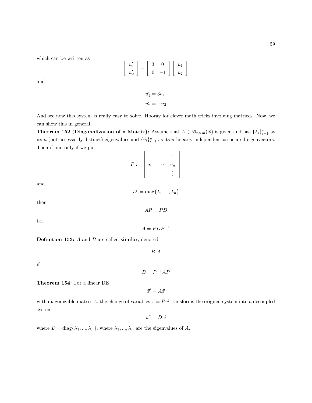which can be written as

$$
\left[\begin{array}{c} u_1' \\ u_2' \end{array}\right] = \left[\begin{array}{cc} 3 & 0 \\ 0 & -1 \end{array}\right] \left[\begin{array}{c} u_1 \\ u_2 \end{array}\right]
$$

 $u'_1 = 3u_1$  $u'_2 = -u_2$ 

and

And see now this system is really easy to solve. Hooray for clever math tricks involving matrices! Now, we can show this in general.

**Theorem 152 (Diagonalization of a Matrix):** Assume that  $A \in M_{n \times m}(\mathbb{R})$  is given and has  $\{\lambda_i\}_{i=1}^n$  as its n (not necessarily distinct) eigenvalues and  ${\{\vec{v}_i\}}_{i=1}^n$  as its n linearly independent associated eigenvectors. Then if and only if we put

$$
P := \left[ \begin{array}{ccc} \vdots & & \vdots \\ \vec{v}_1 & \cdots & \vec{v}_n \\ \vdots & & \vdots \end{array} \right]
$$

and

$$
D := \text{diag}\{\lambda_1, ..., \lambda_n\}
$$

 $AP = PD$ 

 $A = PDP^{-1}$ 

then

i.e.,

**Definition 153:**  $A$  and  $B$  are called similar, denoted

 $\cal B$   $\cal A$ 

if

Theorem 154: For a linear DE

 $\vec{x}' = A\vec{x}$ 

 $B = P^{-1}AF$ 

with diagonizable matrix A, the change of variables  $\vec{x} = P \vec{w}$  transforms the original system into a decoupled system

 $\vec{w}' = D\vec{w}$ 

where  $D = \text{diag}\{\lambda_1, ..., \lambda_n\}$ , where  $\lambda_1, ..., \lambda_n$  are the eigenvalues of A.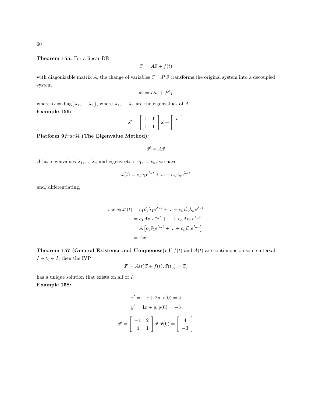Theorem 155: For a linear DE

$$
\vec{x}' = A\vec{x} + f(t)
$$

with diagonizable matrix A, the change of variables  $\vec{x} = P \vec{w}$  transforms the original system into a decoupled system

$$
\vec{w}' = D\vec{w} + P'f
$$

where  $D = \text{diag}\{\lambda_1, ..., \lambda_n\}$ , where  $\lambda_1, ..., \lambda_n$  are the eigenvalues of A. Example 156: .<br>" #

$$
\vec{x}' = \begin{bmatrix} 1 & 1 \\ 1 & 1 \end{bmatrix} \vec{x} + \begin{bmatrix} t \\ 1 \end{bmatrix}
$$

Platform 9frac34 (The Eigenvalue Method):

$$
\vec{x}' = A\vec{x}
$$

A has eigenvalues  $\lambda_1, ..., \lambda_n$  and eigenvectors  $\vec{v}_1, ..., \vec{v}_n$ , we have

$$
\vec{x}(t) = c_1 \vec{v}_1 e^{\lambda_1 t} + \dots + c_n \vec{v}_n e^{\lambda_n t}
$$

and, differentiating,

$$
vecvec{x}'(t) = c_1 \vec{v}_1 \lambda_1 e^{\lambda_1 t} + \dots + c_n \vec{v}_n \lambda_n e^{\lambda_n t}
$$

$$
= c_1 A \vec{v}_1 e^{\lambda_n t} + \dots + c_n A \vec{v}_n e^{\lambda_n t}
$$

$$
= A \left[ c_1 \vec{v}_1 e^{\lambda_n t} + \dots + c_n \vec{v}_n e^{\lambda_n t} \right]
$$

$$
= A \vec{x}
$$

**Theorem 157 (General Existence and Uniqueness):** If  $f(t)$  and  $A(t)$  are continuous on some interval  $I \ni t_0 \in I$ , then the IVP

$$
\vec{x}' = A(t)\vec{x} + f(t), \vec{x}(t_0) = \vec{x}_0
$$

has a unique solution that exists on all of I. Example 158:

$$
x' = -x + 2y, x(0) = 4
$$

$$
y' = 4x + y, y(0) = -3
$$

$$
\vec{x}' = \begin{bmatrix} -1 & 2\\ 4 & 1 \end{bmatrix} \vec{x}, \vec{x}(0) = \begin{bmatrix} 4\\ -3 \end{bmatrix}
$$

1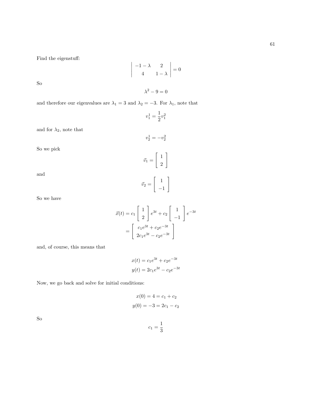Find the eigenstuff:

$$
\left|\begin{array}{cc} -1-\lambda & 2\\ 4 & 1-\lambda \end{array}\right|=0
$$

 $\lambda^2 - 9 = 0$ 

So

and therefore our eigenvalues are 
$$
\lambda_1 = 3
$$
 and  $\lambda_2 = -3$ . For  $\lambda_1$ , note that

$$
v^1_1=\frac{1}{2}v^2_1
$$

 $v_2^1 = -v_2^2$ 

and for  $\lambda_2,$  note that

So we pick

$$
\vec{v}_1 = \left[\begin{array}{c}1\\2\end{array}\right]
$$

 $\begin{bmatrix} 1 \end{bmatrix}$ −1 1

 $\vec{v}_2 =$ 

and

So we have

$$
\vec{x}(t) = c_1 \begin{bmatrix} 1 \\ 2 \end{bmatrix} e^{3t} + c_2 \begin{bmatrix} 1 \\ -1 \end{bmatrix} e^{-3t}
$$

$$
= \begin{bmatrix} c_1 e^{3t} + c_2 e^{-3t} \\ 2c_1 e^{3t} - c_2 e^{-3t} \end{bmatrix}
$$

and, of course, this means that

$$
x(t) = c_1 e^{3t} + c_2 e^{-3t}
$$

$$
y(t) = 2c_1 e^{3t} - c_2 e^{-3t}
$$

Now, we go back and solve for initial conditions:

$$
x(0) = 4 = c_1 + c_2
$$

$$
y(0) = -3 = 2c_1 - c_2
$$

So

$$
c_1=\frac{1}{3}
$$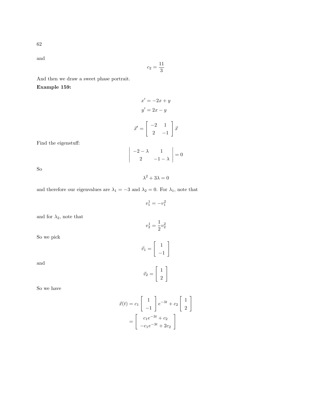and

$$
c_2 = \frac{11}{3}
$$

And then we draw a sweet phase portrait.

Example 159:

$$
x' = -2x + y
$$

$$
y' = 2x - y
$$

$$
\vec{x}' = \begin{bmatrix} -2 & 1\\ 2 & -1 \end{bmatrix} \vec{x}
$$

Find the eigenstuff:

$$
\begin{vmatrix} -2 - \lambda & 1 \\ 2 & -1 - \lambda \end{vmatrix} = 0
$$

So

 $\lambda^2 + 3\lambda = 0$ 

 $v_1^1 = -v_1^2$ 

and therefore our eigenvalues are  $\lambda_1=-3$  and  $\lambda_2=0.$  For  $\lambda_1,$  note that

and for  $\lambda_2,$  note that

So we pick

and

$$
\vec{v}_1 = \begin{bmatrix} 1 \\ -1 \end{bmatrix}
$$

$$
\vec{v}_2 = \begin{bmatrix} 1 \\ 2 \end{bmatrix}
$$

So we have

$$
\vec{x}(t) = c_1 \begin{bmatrix} 1 \\ -1 \end{bmatrix} e^{-3t} + c_2 \begin{bmatrix} 1 \\ 2 \end{bmatrix}
$$

$$
= \begin{bmatrix} c_1 e^{-3t} + c_2 \\ -c_1 e^{-3t} + 2c_2 \end{bmatrix}
$$

$$
v_2^1 = \frac{1}{2}v_2^2
$$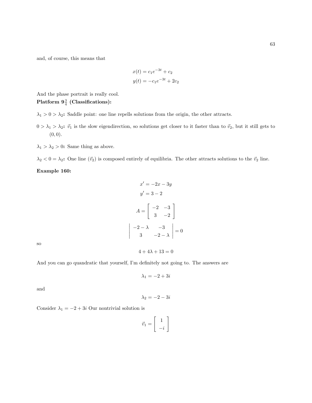and, of course, this means that

$$
x(t) = c_1 e^{-3t} + c_2
$$

$$
y(t) = -c_1 e^{-3t} + 2c_2
$$

And the phase portrait is really cool.

# ${\rm Platform}$   $9\frac{3}{4}$  (Classifications):

 $\lambda_1 > 0 > \lambda_2$ : Saddle point: one line repells solutions from the origin, the other attracts.

- $0 > \lambda_1 > \lambda_2$ :  $\vec{v}_1$  is the slow eigendirection, so solutions get closer to it faster than to  $\vec{v}_2$ , but it still gets to  $(0, 0).$
- $\lambda_1 > \lambda_2 > 0$ : Same thing as above.

 $\lambda_2 < 0 = \lambda_2$ : One line  $(\vec{v}_2)$  is composed entirely of equilibria. The other attracts solutions to the  $\vec{v}_2$  line.

Example 160:

$$
x' = -2x - 3y
$$

$$
y' = 3 - 2
$$

$$
A = \begin{bmatrix} -2 & -3 \\ 3 & -2 \end{bmatrix}
$$

$$
-2 - \lambda \qquad -3 \\ 3 & -2 - \lambda \end{bmatrix} = 0
$$

so

 $4 + 4\lambda + 13 = 0$ 

And you can go quandratic that yourself, I'm definitely not going to. The answers are

 $\overline{\phantom{a}}$  $\overline{\phantom{a}}$  $\overline{\phantom{a}}$  $\overline{\phantom{a}}$  $\vert$ 

$$
\lambda_1 = -2 + 3i
$$

and

$$
\lambda_2 = -2 - 3i
$$

Consider  $\lambda_1 = -2 + 3i$  Our nontrivial solution is

$$
\vec{v}_1 = \left[ \begin{array}{c} 1 \\ -i \end{array} \right]
$$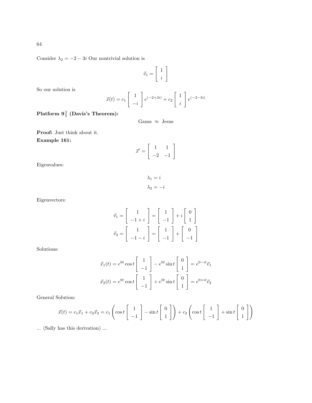Consider  $\lambda_2 = -2 - 3i$  Our nontrivial solution is

$$
\vec{v}_1 = \left[ \begin{array}{c} 1 \\ i \end{array} \right]
$$

So our solution is

$$
\vec{x}(t) = c_1 \begin{bmatrix} 1 \\ -i \end{bmatrix} e^{(-2+3i)} + c_2 \begin{bmatrix} 1 \\ i \end{bmatrix} e^{(-2-3i)}
$$

 ${\rm {\bf Platform}}\,\, \mathbf{9}_{4}^{\,3}\,\, ({\rm Davis's\,\, Theorem}) \colon$ 

Gauss  $\approx$  Jesus

Proof: Just think about it. Example 161:

$$
\vec{x}' = \left[ \begin{array}{rr} 1 & 1 \\ -2 & -1 \end{array} \right]
$$

Eigenvalues:

 $\lambda_1 = i$  $\lambda_2 = -i$ 

Eigenvectors:

$$
\vec{v}_1 = \begin{bmatrix} 1 \\ -1+i \end{bmatrix} = \begin{bmatrix} 1 \\ -1 \end{bmatrix} + i \begin{bmatrix} 0 \\ 1 \end{bmatrix}
$$

$$
\vec{v}_2 = \begin{bmatrix} 1 \\ -1-i \end{bmatrix} = \begin{bmatrix} 1 \\ -1 \end{bmatrix} + \begin{bmatrix} 0 \\ 0 \end{bmatrix}
$$

Solutions:

$$
\vec{x}_1(t) = e^{0t} \cos t \begin{bmatrix} 1 \\ -1 \end{bmatrix} - e^{0t} \sin t \begin{bmatrix} 0 \\ 1 \end{bmatrix} = e^{0-tt} \vec{v}_1
$$

$$
\vec{x}_2(t) = e^{0t} \cos t \begin{bmatrix} 1 \\ -1 \end{bmatrix} + e^{0t} \sin t \begin{bmatrix} 0 \\ 1 \end{bmatrix} = e^{0+tt} \vec{v}_2
$$

General Solution:

$$
\vec{x}(t) = c_1 \vec{x}_1 + c_2 \vec{x}_2 = c_1 \left( \cos t \begin{bmatrix} 1 \\ -1 \end{bmatrix} - \sin t \begin{bmatrix} 0 \\ 1 \end{bmatrix} \right) + c_2 \left( \cos t \begin{bmatrix} 1 \\ -1 \end{bmatrix} + \sin t \begin{bmatrix} 0 \\ 1 \end{bmatrix} \right)
$$

... (Sally has this derivation) ...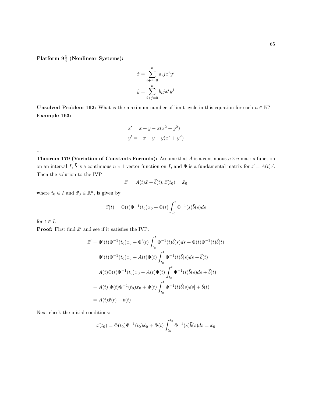${\rm Platform}$   $9\frac{3}{4}$  (Nonlinear Systems):

$$
\dot{x} = \sum_{i+j=0}^{n} a_i j x^i y^j
$$

$$
\dot{y} = \sum_{i+j=0}^{n} b_i j x^i y^j
$$

**Unsolved Problem 162:** What is the maximum number of limit cycle in this equation for each  $n \in \mathbb{N}$ ? Example 163:

$$
x' = x + y - x(x2 + y2)
$$
  

$$
y' = -x + y - y(x2 + y2)
$$

**Theorem 179 (Variation of Constants Formula):** Assume that A is a continuous  $n \times n$  matrix function on an interval I,  $\vec{b}$  is a continuous  $n \times 1$  vector function on I, and  $\Phi$  is a fundamental matrix for  $\vec{x} = A(t)\vec{x}$ . Then the solution to the IVP

$$
\vec{x}' = A(t)\vec{x} + \vec{b}(t), \vec{x}(t_0) = \vec{x}_0
$$

where  $t_0 \in I$  and  $\vec{x}_0 \in \mathbb{R}^n$ , is given by

$$
\vec{x}(t) = \Phi(t)\Phi^{-1}(t_0)x_0 + \Phi(t)\int_{t_0}^t \Phi^{-1}(s)\vec{b}(s)ds
$$

for  $t \in I$ .

...

**Proof:** First find  $\vec{x}'$  and see if it satisfies the IVP:

$$
\vec{x}' = \Phi'(t)\Phi^{-1}(t_0)x_0 + \Phi'(t)\int_{t_0}^t \Phi^{-1}(t)\vec{b}(s)ds + \Phi(t)\Phi^{-1}(t)\vec{b}(t)
$$
  
\n
$$
= \Phi'(t)\Phi^{-1}(t_0)x_0 + A(t)\Phi(t)\int_{t_0}^t \Phi^{-1}(t)\vec{b}(s)ds + \vec{b}(t)
$$
  
\n
$$
= A(t)\Phi(t)\Phi^{-1}(t_0)x_0 + A(t)\Phi(t)\int_{t_0}^t \Phi^{-1}(t)\vec{b}(s)ds + \vec{b}(t)
$$
  
\n
$$
= A(t)[\Phi(t)\Phi^{-1}(t_0)x_0 + \Phi(t)\int_{t_0}^t \Phi^{-1}(t)\vec{b}(s)ds] + \vec{b}(t)
$$
  
\n
$$
= A(t)\vec{x}(t) + \vec{b}(t)
$$

Next check the initial conditions:

$$
\vec{x}(t_0) = \Phi(t_0)\Phi^{-1}(t_0)\vec{x}_0 + \Phi(t)\int_{t_0}^{t_0} \Phi^{-1}(s)\vec{b}(s)ds = \vec{x}_0
$$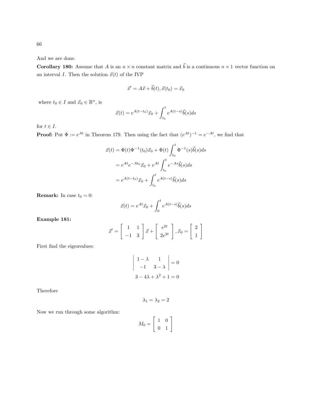66

And we are done.

**Corollary 180:** Assume that A is an  $n \times n$  constant matrix and  $\vec{b}$  is a continuous  $n \times 1$  vector function on an interval I. Then the solution  $\vec{x}(t)$  of the IVP

$$
\vec{x}' = A\vec{x} + \vec{b}(t), \vec{x}(t_0) = \vec{x}_0
$$

where  $t_0 \in I$  and  $\vec{x}_0 \in \mathbb{R}^n$ , is

$$
\vec{x}(t) = e^{A(t-t_0)}\vec{x}_0 + \int_{t_0}^t e^{A(t-s)}\vec{b}(s)ds
$$

for  $t \in I$ .

**Proof:** Put  $\Phi := e^{At}$  in Theorem 179. Then using the fact that  $(e^{At})^{-1} = e^{-At}$ , we find that

$$
\vec{x}(t) = \Phi(t)\Phi^{-1}(t_0)\vec{x}_0 + \Phi(t)\int_{t_0}^t \Phi^{-1}(s)\vec{b}(s)ds
$$

$$
= e^{At}e^{-At_0}\vec{x}_0 + e^{At}\int_{t_0}^t e^{-As}\vec{b}(s)ds
$$

$$
= e^{A(t-t_0)}\vec{x}_0 + \int_{t_0}^t e^{A(t-s)}\vec{b}(s)ds
$$

**Remark:** In case  $t_0 = 0$ :

$$
\vec{x}(t) = e^{At}\vec{x}_0 + \int_0^t e^{A(t-s)}\vec{b}(s)ds
$$

Example 181:

$$
\vec{x}' = \begin{bmatrix} 1 & 1 \\ -1 & 3 \end{bmatrix} \vec{x} + \begin{bmatrix} e^{2t} \\ 2e^{2t} \end{bmatrix}, \vec{x}_0 = \begin{bmatrix} 2 \\ 1 \end{bmatrix}
$$

First find the eigenvalues:

$$
\begin{vmatrix} 1 - \lambda & 1 \\ -1 & 3 - \lambda \end{vmatrix} = 0
$$

$$
3 - 4\lambda + \lambda^2 + 1 = 0
$$

Therefore

$$
\lambda_1 = \lambda_2 = 2
$$

Now we run through some algorithm:

$$
M_0 = \left[ \begin{array}{cc} 1 & 0 \\ 0 & 1 \end{array} \right]
$$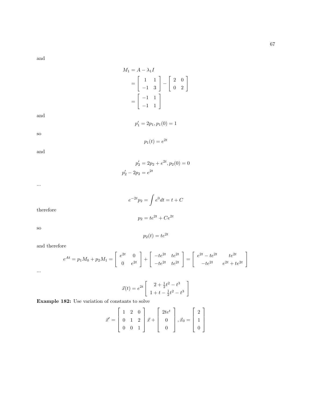and

$$
M_1 = A - \lambda_1 I
$$
  
= 
$$
\begin{bmatrix} 1 & 1 \\ -1 & 3 \end{bmatrix} - \begin{bmatrix} 2 & 0 \\ 0 & 2 \end{bmatrix}
$$
  
= 
$$
\begin{bmatrix} -1 & 1 \\ -1 & 1 \end{bmatrix}
$$
  

$$
p'_1 = 2p_1, p_1(0) = 1
$$
  

$$
p_1(t) = e^{2t}
$$

and

and

so

...

$$
e^{-2t}p_2 = \int e^0 dt = t + C
$$

$$
p_2 = te^{2t} + Ce^{2t}
$$

therefore

so

and therefore

$$
e^{At} = p_1 M_0 + p_2 M_1 = \begin{bmatrix} e^{2t} & 0 \\ 0 & e^{2t} \end{bmatrix} + \begin{bmatrix} -te^{2t} & te^{2t} \\ -te^{2t} & te^{2t} \end{bmatrix} = \begin{bmatrix} e^{2t} - te^{2t} & te^{2t} \\ -te^{2t} & e^{2t} + te^{2t} \end{bmatrix}
$$

$$
\ldots
$$

$$
\vec{x}(t) = e^{2t} \left[ \begin{array}{c} 2 + \frac{1}{2}t^2 - t^3 \\ 1 + t - \frac{1}{2}t^2 - t^3 \end{array} \right]
$$

Example 182: Use variation of constants to solve

$$
\vec{x}' = \begin{bmatrix} 1 & 2 & 0 \\ 0 & 1 & 2 \\ 0 & 0 & 1 \end{bmatrix} \vec{x} + \begin{bmatrix} 2te^t \\ 0 \\ 0 \end{bmatrix}, \vec{x}_0 = \begin{bmatrix} 2 \\ 1 \\ 0 \end{bmatrix}
$$

 $p'_2 = 2p_2 + e^{2t}, p_2(0) = 0$  $p'_2 - 2p_2 = e^{2t}$ 

$$
p_2(t) = te^{2t}
$$

 $\left[\begin{array}{cc} 2 & 0 \ 0 & 2 \end{array}\right]$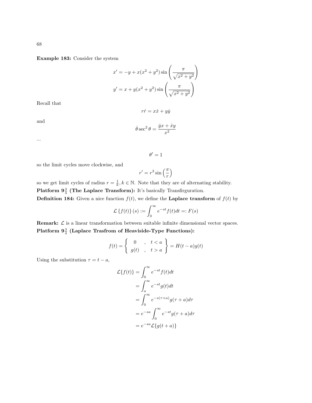Example 183: Consider the system

$$
x' = -y + x(x2 + y2) sin\left(\frac{\pi}{\sqrt{x2 + y2}}\right)
$$

$$
y' = x + y(x2 + y2) sin\left(\frac{\pi}{\sqrt{x2 + y2}}\right)
$$

Recall that

and

$$
r\dot{r} = x\dot{x} + y\dot{y}
$$

$$
\dot{\theta} \sec^2 \theta = \frac{\dot{y}x + \dot{x}y}{x^2}
$$

...

 $\theta' = 1$ 

so the limit cycles move clockwise, and

$$
r' = r^3 \sin\left(\frac{\pi}{r}\right)
$$

so we get limit cycles of radius  $r = \frac{1}{k}$ ,  $k \in \mathbb{N}$ . Note that they are of alternating stability. Platform  $9\frac{3}{4}$  (The Laplace Transform): It's basically Transfirguration. **Definition 184:** Given a nice function  $f(t)$ , we define the **Laplace transform** of  $f(t)$  by

$$
\mathcal{L}\left\{f(t)\right\}(s) := \int_0^\infty e^{-st} f(t) dt =: F(s)
$$

**Remark:**  $\mathcal{L}$  is a linear transformation between suitable infinite dimensional vector spaces. Platform  $9\frac{3}{4}$  (Laplace Trasfrom of Heaviside-Type Functions):

$$
f(t) = \begin{cases} 0, & t < a \\ g(t), & t > a \end{cases} = H(t-a)g(t)
$$

Using the substitution  $\tau = t - a$ ,

$$
\mathcal{L}{f(t)} = \int_0^\infty e^{-st} f(t)dt
$$
  
= 
$$
\int_a^\infty e^{-st} g(t)dt
$$
  
= 
$$
\int_0^\infty e^{-s(\tau+a)} g(\tau+a) d\tau
$$
  
= 
$$
e^{-sa} \int_0^\infty e^{-st} g(\tau+a) d\tau
$$
  
= 
$$
e^{-sa} \mathcal{L}{g(t+a)}
$$

68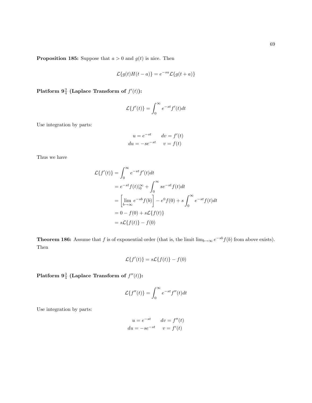**Proposition 185:** Suppose that  $a > 0$  and  $g(t)$  is nice. Then

$$
\mathcal{L}{g(t)H(t-a)} = e^{-sa}\mathcal{L}{g(t+a)}
$$

Platform  $\mathbf{9}_4^3$  (Laplace Transform of  $f'(t)$ ):

$$
\mathcal{L}\lbrace f'(t)\rbrace = \int_0^\infty e^{-st} f'(t)dt
$$

Use integration by parts:

$$
u = e^{-st} \qquad dv = f'(t)
$$

$$
du = -se^{-st} \qquad v = f(t)
$$

Thus we have

$$
\mathcal{L}\lbrace f'(t)\rbrace = \int_0^\infty e^{-st} f'(t)dt
$$
  
\n
$$
= e^{-st} f(t)|_0^\infty + \int_0^\infty s e^{-st} f(t)dt
$$
  
\n
$$
= \left[\lim_{b \to \infty} e^{-sb} f(b)\right] - e^0 f(0) + s \int_0^\infty e^{-st} f(t)dt
$$
  
\n
$$
= 0 - f(0) + s\mathcal{L}\lbrace f(t)\rbrace
$$
  
\n
$$
= s\mathcal{L}\lbrace f(t)\rbrace - f(0)
$$

**Theorem 186:** Assume that f is of exponential order (that is, the limit  $\lim_{b\to\infty}e^{-sb}f(b)$  from above exists). Then

$$
\mathcal{L}\lbrace f'(t)\rbrace = s\mathcal{L}\lbrace f(t)\rbrace - f(0)
$$

Platform  $9\frac{3}{4}$  (Laplace Transform of  $f''(t)$ ):

$$
\mathcal{L}\lbrace f''(t)\rbrace = \int_0^\infty e^{-st} f''(t)dt
$$

Use integration by parts:

$$
u = e^{-st} \qquad dv = f''(t)
$$

$$
du = -se^{-st} \qquad v = f'(t)
$$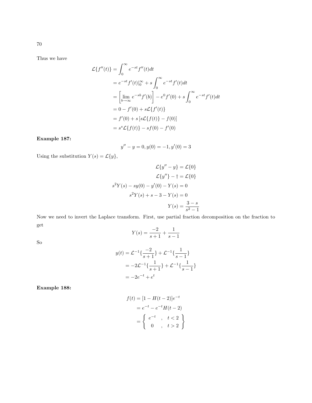Thus we have

$$
\mathcal{L}\lbrace f''(t)\rbrace = \int_0^\infty e^{-st} f''(t)dt
$$
  
=  $e^{-st} f'(t)|_0^\infty + s \int_0^\infty e^{-st} f'(t)dt$   
=  $\left[\lim_{b \to \infty} e^{-sb} f'(b)\right] - e^0 f'(0) + s \int_0^\infty e^{-st} f'(t)dt$   
=  $0 - f'(0) + s \mathcal{L}\lbrace f'(t)\rbrace$   
=  $f'(0) + s [s\mathcal{L}\lbrace f(t)\rbrace - f(0)]$   
=  $s^s \mathcal{L}\lbrace f(t)\rbrace - sf(0) - f'(0)$ 

### Example 187:

$$
y'' - y = 0, y(0) = -1, y'(0) = 3
$$

Using the substitution  $Y(s) = \mathcal{L}\{y\},$ 

$$
\mathcal{L}{y'' - y} = \mathcal{L}{0}
$$

$$
\mathcal{L}{y''} - \dagger = \mathcal{L}{0}
$$

$$
s^{2}Y(s) - sy(0) - y'(0) - Y(s) = 0
$$

$$
s^{2}Y(s) + s - 3 - Y(s) = 0
$$

$$
Y(s) = \frac{3 - s}{s^{2} - 1}
$$

Now we need to invert the Laplace transform. First, use partial fraction decomposition on the fraction to get

$$
Y(s) = \frac{-2}{s+1} + \frac{1}{s-1}
$$

So

$$
y(t) = \mathcal{L}^{-1}\left\{\frac{-2}{s+1}\right\} + \mathcal{L}^{-1}\left\{\frac{1}{s-1}\right\}
$$
  
=  $-2\mathcal{L}^{-1}\left\{\frac{1}{s+1}\right\} + \mathcal{L}^{-1}\left\{\frac{1}{s-1}\right\}$   
=  $-2e^{-t} + e^{t}$ 

Example 188:

$$
f(t) = [1 - H(t - 2)]e^{-t}
$$
  
=  $e^{-t} - e^{-t}H(t - 2)$   
=  $\begin{cases} e^{-t} , & t < 2 \\ 0 , & t > 2 \end{cases}$ 

70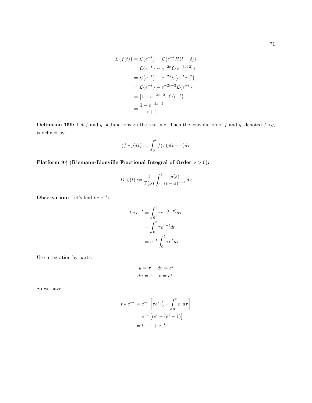$$
\mathcal{L}{f(t)} = \mathcal{L}{e^{-t}} - \mathcal{L}{e^{-t}H(t-2)}
$$
  
=  $\mathcal{L}{e^{-t}} - e^{-2s}\mathcal{L}{e^{-(t+2)}}$   
=  $\mathcal{L}{e^{-t}} - e^{-2s}\mathcal{L}{e^{-t}e^{-2}}$   
=  $\mathcal{L}{e^{-t}} - e^{-2s-2}\mathcal{L}{e^{-t}}$   
=  $[1 - e^{-2s-2}] \mathcal{L}{e^{-t}}$   
=  $\frac{1 - e^{-2s-2}}{s+1}$ 

**Definition 159:** Let f and g be functions on the real line. Then the convolution of f and g, denoted  $f * g$ , is defined by

$$
(f * g)(t) := \int_0^t f(\tau)g(t - \tau)d\tau
$$

Platform  $9\frac{3}{4}$  (Riemann-Lionville Fractional Integral of Order  $\nu > 0$ ):

$$
D^{\nu}y(t) := \frac{1}{\Gamma(\nu)} \int_0^t \frac{y(s)}{(t-s)^{\nu-1}} ds
$$

Observation: Let's find  $t * e^{-t}$ :

$$
t * e^{-t} = \int_0^t \tau e^{-(t-\tau)} d\tau
$$

$$
= \int_0^t \tau e^{\tau - t} dt
$$

$$
= e^{-t} \int_0^t \tau e^{\tau} d\tau
$$

Use integration by parts:

$$
u = \tau \quad dv = e^{\tau}
$$

$$
du = 1 \quad v = e^{\tau}
$$

So we have

$$
t * e^{-t} = e^{-t} \left[ \tau e^{\tau} \Big|_0^t - \int_0^t e^{\tau} d\tau \right]
$$

$$
= e^{-t} \left[ t e^t - (e^t - 1) \right]
$$

$$
= t - 1 + e^{-t}
$$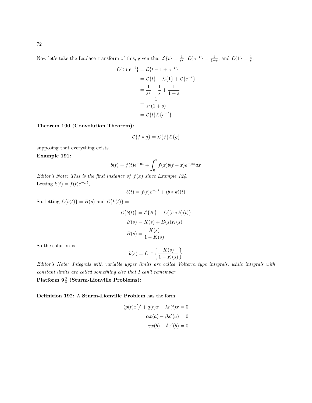Now let's take the Laplace transform of this, given that  $\mathcal{L}\lbrace t \rbrace = \frac{1}{s^2}, \mathcal{L}\lbrace e^{-t} \rbrace = \frac{1}{1+s}$ , and  $\mathcal{L}\lbrace 1 \rbrace = \frac{1}{s}$ .

$$
\mathcal{L}\lbrace t * e^{-t} \rbrace = \mathcal{L}\lbrace t - 1 + e^{-t} \rbrace
$$
  
=  $\mathcal{L}\lbrace t \rbrace - \mathcal{L}\lbrace 1 \rbrace + \mathcal{L}\lbrace e^{-t} \rbrace$   
=  $\frac{1}{s^2} - \frac{1}{s} + \frac{1}{1+s}$   
=  $\frac{1}{s^2(1+s)}$   
=  $\mathcal{L}\lbrace t \rbrace \mathcal{L}\lbrace e^{-t} \rbrace$ 

Theorem 190 (Convolution Theorem):

$$
\mathcal{L}{f*g} = \mathcal{L}{f}\mathcal{L}{g}
$$

supposing that everything exists.

Example 191:

$$
b(t) = f(t)e^{-\mu t} + \int_0^t f(x)b(t - x)e^{-\mu x}dx
$$

Editor's Note: This is the first instance of  $f(x)$  since Example 124. Letting  $k(t) = f(t)e^{-\mu t}$ ,

$$
b(t) = f(t)e^{-\mu t} + (b*k)(t)
$$

So, letting  $\mathcal{L}{b(t)} = B(s)$  and  $\mathcal{L}{k(t)} =$ 

$$
\mathcal{L}{b(t)} = \mathcal{L}{K} + \mathcal{L}{(b*k)(t)}
$$

$$
B(s) = K(s) + B(s)K(s)
$$

$$
B(s) = \frac{K(s)}{1 - K(s)}
$$

So the solution is

...

$$
b(s) = \mathcal{L}^{-1}\left\{\frac{K(s)}{1 - K(s)}\right\}
$$

Editor's Note: Integrals with variable upper limits are called Volterra type integrals, while integrals with constant limits are called something else that I can't remember.

 ${\rm Platform}$   $9\frac{3}{4}$  (Sturm-Lionville Problems):

Definition 192: A Sturm-Lionville Problem has the form:

$$
(p(t)x')' + q(t)x + \lambda r(t)x = 0
$$

$$
\alpha x(a) - \beta x'(a) = 0
$$

$$
\gamma x(b) - \delta x'(b) = 0
$$

72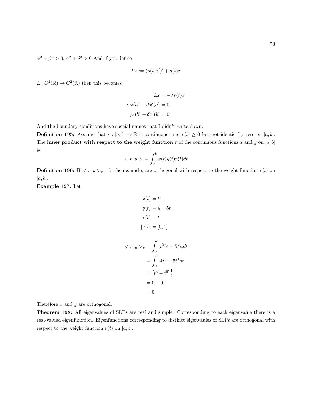$\alpha^2 + \beta^2 > 0$ ,  $\gamma^2 + \delta^2 > 0$  And if you define

$$
Lx := (p(t)x')' + q(t)x
$$

 $L: C^2(\mathbb{R}) \to C^2(\mathbb{R})$  then this becomes

$$
Lx = -\lambda r(t)x
$$

$$
\alpha x(a) - \beta x'(a) = 0
$$

$$
\gamma x(b) - \delta x'(b) = 0
$$

And the boundary conditions have special names that I didn't write down.

 $\,<$ 

**Definition 195:** Assume that  $r : [a, b] \to \mathbb{R}$  is continuous, and  $r(t) \geq 0$  but not identically zero on [a, b]. The inner product with respect to the weight function  $r$  of the continuous functions  $x$  and  $y$  on  $[a, b]$ is

$$
\langle x, y \rangle_r = \int_a^b x(t)y(t)r(t)dt
$$

**Definition 196:** If  $\langle x, y \rangle_{r} = 0$ , then x and y are orthogonal with respect to the weight function  $r(t)$  on  $[a, b]$ .

Example 197: Let

$$
x(t) = t2
$$
  
\n
$$
y(t) = 4 - 5t
$$
  
\n
$$
r(t) = t
$$
  
\n
$$
[a, b] = [0, 1]
$$
  
\n
$$
x, y >_r = \int_0^1 t^2 (4 - 5t) t dt
$$
  
\n
$$
= \int_0^1 4t^3 - 5t^4 dt
$$
  
\n
$$
= [t^4 - t^5]_0^1
$$
  
\n
$$
= 0 - 0
$$

Therefore x and y are orthogonal.

Theorem 198: All eigenvalues of SLPs are real and simple. Corresponding to each eigenvalue there is a real-valued eigenfunction. Eigenfunctions corresponding to distinct eigenvaules of SLPs are orthogonal with respect to the weight function  $r(t)$  on [a, b].

 $\,=0$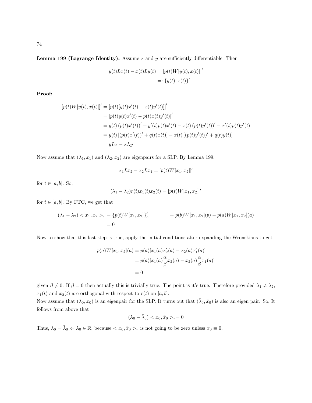Lemma 199 (Lagrange Identity): Assume  $x$  and  $y$  are sufficiently differentiable. Then

$$
y(t)Lx(t) - x(t)Ly(t) = [p(t)W[y(t), x(t)]]'
$$
  

$$
=:\{y(t), x(t)\}'
$$

Proof:

$$
[p(t)W[y(t), x(t)]]' = [p(t)[y(t)x'(t) - x(t)y'(t)]]'
$$
  
\n
$$
= [p(t)y(t)x'(t) - p(t)x(t)y'(t)]'
$$
  
\n
$$
= y(t) (p(t)x'(t))' + y'(t)p(t)x'(t) - x(t) (p(t)y'(t))' - x'(t)p(t)y'(t)
$$
  
\n
$$
= y(t) [(p(t)x'(t))' + q(t)x(t)] - x(t) [(p(t)y'(t))' + q(t)y(t)]
$$
  
\n
$$
= yLx - xLy
$$

Now assume that  $(\lambda_1, x_1)$  and  $(\lambda_2, x_2)$  are eigenpairs for a SLP. By Lemma 199:

$$
x_1 L x_2 - x_2 L x_1 = [p(t)W[x_1, x_2]]'
$$

for  $t \in [a, b]$ . So,

$$
(\lambda_1 - \lambda_2)r(t)x_1(t)x_2(t) = [p(t)W[x_1, x_2]]'
$$

for  $t \in [a, b]$ . By FTC, we get that

$$
(\lambda_1 - \lambda_2) < x_1, x_2 >_r = \{p(t)W[x_1, x_2]\}_a^b = p(b)W[x_1, x_2](b) - p(a)W[x_1, x_2](a) = 0
$$

Now to show that this last step is true, apply the initial conditions after expanding the Wronskians to get

$$
p(a)W[x_1, x_2](a) = p(a)[x_1(a)x'_2(a) - x_2(a)x'_1(a)]
$$
  
=  $p(a)[x_1(a)\frac{\alpha}{\beta}x_2(a) - x_2(a)\frac{\alpha}{\beta}x_1(a)]$   
= 0

given  $\beta \neq 0$ . If  $\beta = 0$  then actually this is trivially true. The point is it's true. Therefore provided  $\lambda_1 \neq \lambda_2$ ,  $x_1(t)$  and  $x_2(t)$  are orthogonal with respect to  $r(t)$  on  $[a, b]$ .

Now assume that  $(\lambda_0, x_0)$  is an eigenpair for the SLP. It turns out that  $(\bar{\lambda}_0, \bar{x}_0)$  is also an eigen pair. So, It follows from above that

$$
(\lambda_0 - \bar{\lambda}_0) < x_0, \bar{x}_0 >_{r} = 0
$$

Thus,  $\lambda_0 = \bar{\lambda}_0 \Leftrightarrow \lambda_0 \in \mathbb{R}$ , because  $\langle x_0, \bar{x}_0 \rangle_r$  is not going to be zero unless  $x_0 \equiv 0$ .

74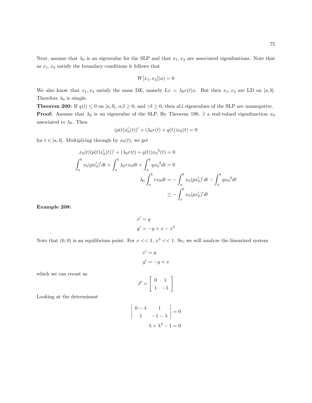Next, assume that  $\lambda_0$  is an eigenvalue for the SLP and that  $x_1, x_2$  are associated eigenfuntions. Note that as  $x_1, x_2$  satisfy the boundary conditions it follows that

$$
W[x_1, x_2](a) = 0
$$

We also know that  $x_1, x_2$  satisfy the same DE, namely  $Lx = \lambda_0 r(t)x$ . But then  $x_1, x_2$  are LD on [a, b]. Therefore  $\lambda_0$  is simple.

**Theorem 200:** If  $q(t) \leq 0$  on [a, b],  $\alpha\beta \geq 0$ , and  $\gamma\delta \geq 0$ , then al;l eigenvalues of the SLP are nonnegative. **Proof:** Assume that  $\lambda_0$  is an eigenvalue of the SLP. By Theorem 198,  $\exists$  a real-valued eigenfunction  $x_0$ associated to  $\lambda_0$ . Then

$$
(p(t)x'_0(t))' + (\lambda_0 r(t) + q(t))x_0(t) = 0
$$

for  $t \in [a, b]$ . Multiplying through by  $x_0(t)$ , we get

$$
x_0(t)(p(t)x'_0(t))' + (\lambda_0 r(t) + q(t))x_0^2(t) = 0
$$
  

$$
\int_a^b x_0 (px'_0)'dt + \int_a^b \lambda_0 rx_0 dt + \int_a^b qx_0^2 dt = 0
$$
  

$$
\lambda_0 \int_a^b rx_0 dt = -\int_a^b x_0 (px'_0)'dt - \int_a^b qx_0^2 dt
$$
  

$$
\ge -\int_a^b x_0 (px'_0)'dt
$$

Example 208:

$$
x' = y
$$
  

$$
y' = -y + x - x3
$$

Note that  $(0,0)$  is an equilibrium point. For  $x \ll 1$ ,  $x^3 \ll 1$ . So, we will analyze the linearized system

$$
x' = y
$$

$$
y' = -y + x
$$

which we can recast as

$$
\vec{x}' = \left[ \begin{array}{cc} 0 & 1 \\ 1 & -1 \end{array} \right]
$$

Looking at the determinant

$$
\begin{vmatrix} 0 - \lambda & 1 \\ 1 & -1 - \lambda \end{vmatrix} = 0
$$

$$
\lambda + \lambda^2 - 1 = 0
$$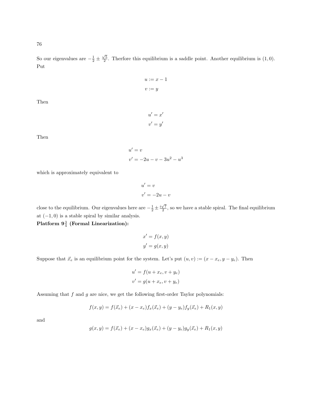76

So our eigenvalues are  $-\frac{1}{2} \pm \frac{\sqrt{5}}{2}$ . Therfore this equilibrium is a saddle point. Another equilibrium is  $(1,0)$ . Put

$$
u := x - 1
$$

$$
v := y
$$

 $u' = x'$  $v' = y'$ 

Then

Then

$$
u' = v
$$
  

$$
v' = -2u - v - 3u^2 - u^3
$$

which is approximately equivalent to

$$
u' = v
$$

$$
v' = -2u - v
$$

close to the equilibrium. Our eigenvalues here are  $-\frac{1}{2} \pm \frac{i\sqrt{7}}{2}$ , so we have a stable spiral. The final equilibrium at  $(-1, 0)$  is a stable spiral by similar analysis.

 ${\rm Platform} \; 9\frac{3}{4} \; ({\rm Formal \; Linearization})$ :

$$
x' = f(x, y)
$$

$$
y' = g(x, y)
$$

Suppose that  $\vec{x}_e$  is an equilibrium point for the system. Let's put  $(u, v) := (x - x_e, y - y_e)$ . Then

$$
u' = f(u + x_e, v + y_e)
$$
  

$$
v' = g(u + x_e, v + y_e)
$$

Assuming that  $f$  and  $g$  are nice, we get the following first-order Taylor polynomials:

$$
f(x, y) = f(\vec{x}_e) + (x - x_e)f_x(\vec{x}_e) + (y - y_e)f_y(\vec{x}_e) + R_1(x, y)
$$

and

$$
g(x,y) = f(\vec{x}_e) + (x - x_e)g_x(\vec{x}_e) + (y - y_e)g_y(\vec{x}_e) + R_1(x,y)
$$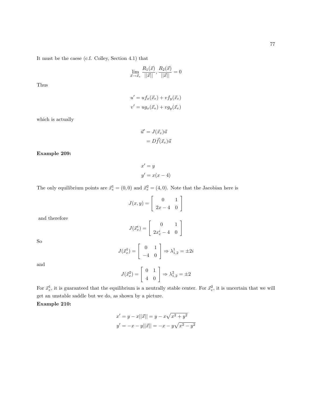It must be the caese (c.f. Colley, Section 4.1) that

$$
\lim_{\vec{x}\rightarrow\vec{x}_e}\frac{R_1(\vec{x})}{||\vec{x}||},\frac{R_2(\vec{x})}{||\vec{x}||}=0
$$

Thus

$$
u' = u f_x(\vec{x}_e) + v f_y(\vec{x}_e)
$$
  

$$
v' = u g_x(\vec{x}_e) + v g_y(\vec{x}_e)
$$

which is actually

$$
\vec{u}' = J(\vec{x}_e)\vec{u}
$$

$$
= D\vec{f}(\vec{x}_e)\vec{u}
$$

Example 209:

$$
x' = y
$$
  

$$
y' = x(x - 4)
$$

The only equilibrium points are  $\vec{x}_{e}^{1} = (0,0)$  and  $\vec{x}_{e}^{2} = (4,0)$ . Note that the Jacobian here is

| $J(x,y) = \begin{bmatrix} 0 & x \\ 0 & -4 \end{bmatrix}$ |  |  |
|----------------------------------------------------------|--|--|
|                                                          |  |  |

and therefore

$$
J(\vec{x}_e^i) = \left[ \begin{array}{cc} 0 & 1 \\ 2x_e^i - 4 & 0 \end{array} \right]
$$

So

$$
J(\vec{x}_e^1) = \begin{bmatrix} 0 & 1\\ -4 & 0 \end{bmatrix} \Rightarrow \lambda_{1,2}^1 = \pm 2i
$$

and

$$
J(\vec{x}_e^2) = \begin{bmatrix} 0 & 1\\ 4 & 0 \end{bmatrix} \Rightarrow \lambda_{1,2}^2 = \pm 2
$$

For  $\vec{x}_e^1$ , it is guaranteed that the equilibrium is a neutrally stable center. For  $\vec{x}_e^2$ , it is uncertain that we will get an unstable saddle but we do, as shown by a picture.

Example 210:

$$
x' = y - x||\vec{x}|| = y - x\sqrt{x^2 + y^2}
$$
  

$$
y' = -x - y||\vec{x}|| = -x - y\sqrt{x^2 - y^2}
$$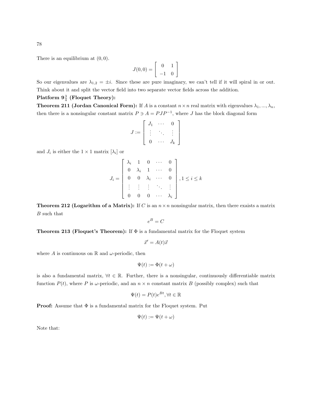There is an equilibrium at  $(0, 0)$ .

$$
J(0,0)=\left[\begin{array}{cc} 0 & 1 \\ -1 & 0 \end{array}\right]
$$

So our eigenvalues are  $\lambda_{1,2} = \pm i$ . Since these are pure imaginary, we can't tell if it will spiral in or out. Think about it and split the vector field into two separate vector fields across the addition.

## Platform  $9\frac{3}{4}$  (Floquet Theory):

**Theorem 211 (Jordan Canonical Form):** If A is a constant  $n \times n$  real matrix with eigenvalues  $\lambda_1, ..., \lambda_n$ , then there is a nonsingular constant matrix  $P \ni A = PJP^{-1}$ , where J has the block diagonal form

$$
J := \left[ \begin{array}{ccc} J_1 & \cdots & 0 \\ \vdots & \ddots & \vdots \\ 0 & \cdots & J_k \end{array} \right]
$$

and  $J_i$  is either the  $1 \times 1$  matrix  $[\lambda_i]$  or

$$
J_i = \begin{bmatrix} \lambda_i & 1 & 0 & \cdots & 0 \\ 0 & \lambda_i & 1 & \cdots & 0 \\ 0 & 0 & \lambda_i & \cdots & 0 \\ \vdots & \vdots & \vdots & \ddots & \vdots \\ 0 & 0 & 0 & \cdots & \lambda_i \end{bmatrix}, 1 \leq i \leq k
$$

**Theorem 212 (Logarithm of a Matrix):** If C is an  $n \times n$  nonsingular matrix, then there exaists a matrix B such that

$$
e^B = C
$$

**Theorem 213 (Floquet's Theorem):** If  $\Phi$  is a fundamental matrix for the Floquet system

$$
\vec{x}' = A(t)\vec{x}
$$

where A is continuous on  $\mathbb R$  and  $\omega$ -periodic, then

$$
\Psi(t) := \Phi(t + \omega)
$$

is also a fundamental matrix,  $\forall t \in \mathbb{R}$ . Further, there is a nonsingular, continuously differentiable matrix function  $P(t)$ , where P is  $\omega$ -periodic, and an  $n \times n$  constant matrix B (possibly complex) such that

$$
\Psi(t) = P(t)e^{Bt}, \forall t \in \mathbb{R}
$$

**Proof:** Assume that  $\Phi$  is a fundamental matrix for the Floquet system. Put

$$
\Psi(t) := \Psi(t + \omega)
$$

Note that: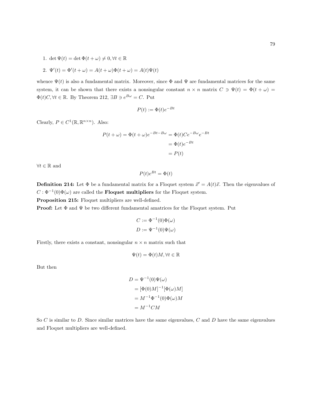1. det  $\Psi(t) = \det \Phi(t + \omega) \neq 0, \forall t \in \mathbb{R}$ 

2. 
$$
\Psi'(t) = \Phi'(t + \omega) = A(t + \omega)\Phi(t + \omega) = A(t)\Psi(t)
$$

whence  $\Psi(t)$  is also a fundamental matrix. Moreover, since  $\Phi$  and  $\Psi$  are fundamental matrices for the same system, it can be shown that there exists a nonsingular constant  $n \times n$  matrix  $C \ni \Psi(t) = \Phi(t + \omega)$  $\Phi(t)C, \forall t \in \mathbb{R}$ . By Theorem 212,  $\exists B \ni e^{B\omega} = C$ . Put

$$
P(t) := \Phi(t)e^{-Bt}
$$

Clearly,  $P \in C^1(\mathbb{R}, \mathbb{R}^{n \times n})$ . Also:

$$
P(t + \omega) = \Phi(t + \omega)e^{-Bt - B\omega} = \Phi(t)Ce^{-B\omega}e^{-Bt}
$$

$$
= \Phi(t)e^{-Bt}
$$

$$
= P(t)
$$

 $\forall t \in \mathbb{R}$  and

$$
P(t)e^{Bt} = \Phi(t)
$$

**Definition 214:** Let  $\Phi$  be a fundamental matrix for a Floquet system  $\vec{x}' = A(t)\vec{x}$ . Then the eigenvalues of  $C : \Phi^{-1}(0)\Phi(\omega)$  are called the **Floquet multipliers** for the Floquet system.

Proposition 215: Floquet multipliers are well-defined.

**Proof:** Let  $\Phi$  and  $\Psi$  be two different fundamental amatrices for the Floquet system. Put

$$
C := \Phi^{-1}(0)\Phi(\omega)
$$
  

$$
D := \Psi^{-1}(0)\Psi(\omega)
$$

Firstly, there exists a constant, nonsingular  $n \times n$  matrix such that

$$
\Psi(t) = \Phi(t)M, \forall t \in \mathbb{R}
$$

But then

$$
D = \Psi^{-1}(0)\Psi(\omega)
$$
  
=  $[\Phi(0)M]^{-1}[\Phi(\omega)M]$   
=  $M^{-1}\Phi^{-1}(0)\Phi(\omega)M$   
=  $M^{-1}CM$ 

So  $C$  is similar to  $D$ . Since similar matrices have the same eigenvalues,  $C$  and  $D$  have the same eigenvalues and Floquet multipliers are well-defined.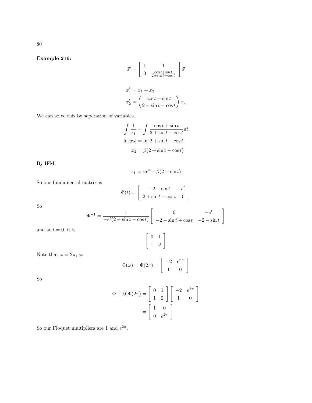Example 216:

$$
\vec{x}' = \begin{bmatrix} 1 & 1 \\ 0 & \frac{\cos t + \sin t}{2 + \sin t - \cos t} \end{bmatrix} \vec{x}
$$

$$
x'_1 = x_1 + x_2
$$

$$
x'_2 = \left(\frac{\cos t + \sin t}{2 + \sin t - \cos t}\right) x_2
$$

We can solve this by seperation of variables.

$$
\int \frac{1}{x_1} = \int \frac{\cos t + \sin t}{2 + \sin t - \cos t} dt
$$

$$
\ln |x_2| = \ln |2 + \sin t - \cos t|
$$

$$
x_2 = \beta (2 + \sin t - \cos t)
$$

By IFM,

$$
x_1 = \alpha e^t - \beta(2 + \sin t)
$$

So our fundamental matrix is

$$
\Phi(t) = \begin{bmatrix} -2 - \sin t & e^t \\ 2 + \sin t - \cos t & 0 \end{bmatrix}
$$

So

$$
\Phi^{-1} = \frac{1}{-e^t(2 + \sin t - \cos t)} \begin{bmatrix} 0 & -e^t \\ -2 - \sin t + \cos t & -2 - \sin t \end{bmatrix}
$$

and at  $t = 0$ , it is

$$
\left[\begin{array}{cc} 0 & 1 \\ 1 & 2 \end{array}\right]
$$

Note that 
$$
\omega = 2\pi
$$
, so

$$
\Phi(\omega) = \Phi(2\pi) = \begin{bmatrix} -2 & e^{2\pi} \\ 1 & 0 \end{bmatrix}
$$

So

$$
\Phi^{-1}(0)\Phi(2\pi) = \begin{bmatrix} 0 & 1 \\ 1 & 2 \end{bmatrix} \begin{bmatrix} -2 & e^{2\pi} \\ 1 & 0 \end{bmatrix}
$$

$$
= \begin{bmatrix} 1 & 0 \\ 0 & e^{2\pi} \end{bmatrix}
$$

So our Floquet multipliers are 1 and  $e^{2\pi}$ .

80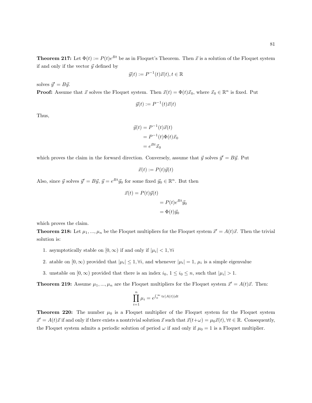**Theorem 217:** Let  $\Phi(t) := P(t)e^{Bt}$  be as in Floquet's Theorem. Then  $\vec{x}$  is a solution of the Floquet system if and only if the vector  $\vec{y}$  defined by

$$
\vec{y}(t) := P^{-1}(t)\vec{x}(t), t \in \mathbb{R}
$$

solves  $\vec{y}' = B\vec{y}$ .

**Proof:** Assume that  $\vec{x}$  solves the Floquet system. Then  $\vec{x}(t) = \Phi(t)\vec{x}_0$ , where  $\vec{x}_0 \in \mathbb{R}^n$  is fixed. Put

$$
\vec{y}(t) := P^{-1}(t)\vec{x}(t)
$$

Thus,

$$
\vec{y}(t) = P^{-1}(t)\vec{x}(t)
$$

$$
= P^{-1}(t)\Phi(t)\vec{x}_0
$$

$$
= e^{Bt}\vec{x}_0
$$

which proves the claim in the forward direction. Conversely, assume that  $\vec{y}$  solves  $\vec{y}' = B\vec{y}$ . Put

$$
\vec{x}(t) := P(t)\vec{y}(t)
$$

Also, since  $\vec{y}$  solves  $\vec{y}' = B\vec{y}$ ,  $\vec{y} = e^{Bt}\vec{y}_0$  for some fixed  $\vec{y}_0 \in \mathbb{R}^n$ . But then

$$
\vec{x}(t) = P(t)\vec{y}(t)
$$

$$
= P(t)e^{Bt}\vec{y}_0
$$

$$
= \Phi(t)\vec{y}_0
$$

which proves the claim.

**Theorem 218:** Let  $\mu_1, ..., \mu_n$  be the Floquet multipliers for the Floquet system  $\vec{x}' = A(t)\vec{x}$ . Then the trivial solution is:

- 1. asymptotically stable on  $[0, \infty)$  if and only if  $|\mu_i| < 1, \forall i$
- 2. atable on  $[0, \infty)$  provided that  $|\mu_i| \leq 1, \forall i$ , and whenever  $|\mu_i| = 1$ ,  $\mu_i$  is a simple eigenvalue
- 3. unstable on  $[0, \infty)$  provided that there is an index  $i_0, 1 \le i_0 \le n$ , such that  $|\mu_i| > 1$ .

**Theorem 219:** Assume  $\mu_1, ..., \mu_n$  are the Floquet multipliers for the Floquet system  $\vec{x}' = A(t)\vec{x}$ . Then:

$$
\prod_{i=1}^{n} \mu_i = e^{\int_0^{\infty} \text{tr}[A(t)]dt}
$$

**Theorem 220:** The number  $\mu_0$  is a Floquet multiplier of the Floquet system for the Floquet system  $\vec{x}' = A(t)\vec{x}$  if and only if there exists a nontrivial solution  $\vec{x}$  such that  $\vec{x}(t+\omega) = \mu_0\vec{x}(t), \forall t \in \mathbb{R}$ . Consequently, the Floquet system admits a periodic solution of period  $\omega$  if and only if  $\mu_0 = 1$  is a Floquet multiplier.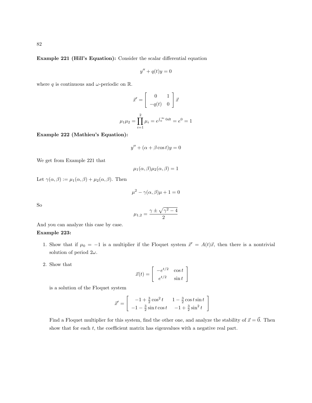Example 221 (Hill's Equation): Consider the scalar differential equation

$$
y'' + q(t)y = 0
$$

where q is continuous and  $\omega$ -periodic on R.

$$
\vec{x}' = \begin{bmatrix} 0 & 1 \\ -q(t) & 0 \end{bmatrix} \vec{x}
$$

$$
\mu_1 \mu_2 = \prod_{i=1}^2 \mu_i = e^{\int_0^\infty 0 dt} = e^0 = 1
$$

Example 222 (Mathieu's Equation):

$$
y'' + (\alpha + \beta \cos t)y = 0
$$

We get from Example 221 that

$$
\mu_1(\alpha,\beta)\mu_2(\alpha,\beta)=1
$$

Let  $\gamma(\alpha, \beta) := \mu_1(\alpha, \beta) + \mu_2(\alpha, \beta)$ . Then

$$
\mu^2 - \gamma(\alpha, \beta)\mu + 1 = 0
$$

So

$$
\mu_{1,2} = \frac{\gamma \pm \sqrt{\gamma^2 - 4}}{2}
$$

And you can analyze this case by case.

## Example 223:

- 1. Show that if  $\mu_0 = -1$  is a multiplier if the Floquet system  $\vec{x}' = A(t)\vec{x}$ , then there is a nontrivial solution of period  $2\omega$ .
- 2. Show that

$$
\vec{x}(t) = \begin{bmatrix} -e^{t/2} & \cos t \\ e^{t/2} & \sin t \end{bmatrix}
$$

is a solution of the Floquet system

$$
\vec{x}' = \begin{bmatrix} -1 + \frac{3}{2}\cos^2 t & 1 - \frac{3}{2}\cos t \sin t \\ -1 - \frac{3}{2}\sin t \cos t & -1 + \frac{3}{2}\sin^2 t \end{bmatrix}
$$

Find a Floquet multiplier for this system, find the other one, and analyze the stability of  $\vec{x} = \vec{0}$ . Then show that for each  $t$ , the coefficient matrix has eigenvalues with a negative real part.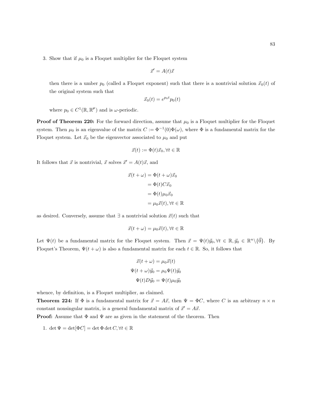3. Show that if  $\mu_0$  is a Floquet multiplier for the Floquet system

$$
\vec{x}' = A(t)\vec{x}
$$

then there is a umber  $p_0$  (called a Floquet exponent) such that there is a nontrivial solution  $\vec{x}_0(t)$  of the original system such that

$$
\vec{x}_0(t) = e^{p_0 t} p_0(t)
$$

where  $p_0 \in C^1(\mathbb{R}, \mathbb{R}^{\not \succeq})$  and is  $\omega$ -periodic.

**Proof of Theorem 220:** For the forward direction, assume that  $\mu_0$  is a Floquet multiplier for the Floquet system. Then  $\mu_0$  is an eigenvalue of the matrix  $C := \Phi^{-1}(0)\Phi(\omega)$ , where  $\Phi$  is a fundamental matrix for the Floquet system. Let  $\vec{x}_0$  be the eigenvector associated to  $\mu_0$  and put

$$
\vec{x}(t) := \Phi(t)\vec{x}_0, \forall t \in \mathbb{R}
$$

It follows that  $\vec{x}$  is nontrivial,  $\vec{x}$  solves  $\vec{x}' = A(t)\vec{x}$ , and

$$
\vec{x}(t + \omega) = \Phi(t + \omega)\vec{x}_0
$$

$$
= \Phi(t)C\vec{x}_0
$$

$$
= \Phi(t)\mu_0\vec{x}_0
$$

$$
= \mu_0\vec{x}(t), \forall t \in \mathbb{R}
$$

as desired. Conversely, assume that  $\exists$  a nontrivial solution  $\vec{x}(t)$  such that

$$
\vec{x}(t+\omega) = \mu_0 \vec{x}(t), \forall t \in \mathbb{R}
$$

Let  $\Psi(t)$  be a fundamental matrix for the Floquet system. Then  $\vec{x} = \Psi(t)\vec{y}_0, \forall t \in \mathbb{R}, \vec{y}_0 \in \mathbb{R}^n \setminus {\{\vec{0}\}}$ . By Floquet's Theorem,  $\Psi(t + \omega)$  is also a fundamental matrix for each  $t \in \mathbb{R}$ . So, it follows that

$$
\vec{x}(t+\omega) = \mu_0 \vec{x}(t)
$$

$$
\Psi(t+\omega)\vec{y}_0 = \mu_0 \Psi(t)\vec{y}_0
$$

$$
\Psi(t)D\vec{y}_0 = \Psi(t)\mu_0 \vec{y}_0
$$

whence, by definition, is a Floquet multiplier, as claimed.

**Theorem 224:** If  $\Phi$  is a fundamental matrix for  $\vec{x} = A\vec{x}$ , then  $\Psi = \Phi C$ , where C is an arbitrary  $n \times n$ constant nonsingular matrix, is a general fundamental matrix of  $\vec{x}' = A\vec{x}$ .

**Proof:** Assume that  $\Phi$  and  $\Psi$  are as given in the statement of the theorem. Then

1. det  $\Psi = \det[\Phi C] = \det \Phi \det C, \forall t \in \mathbb{R}$